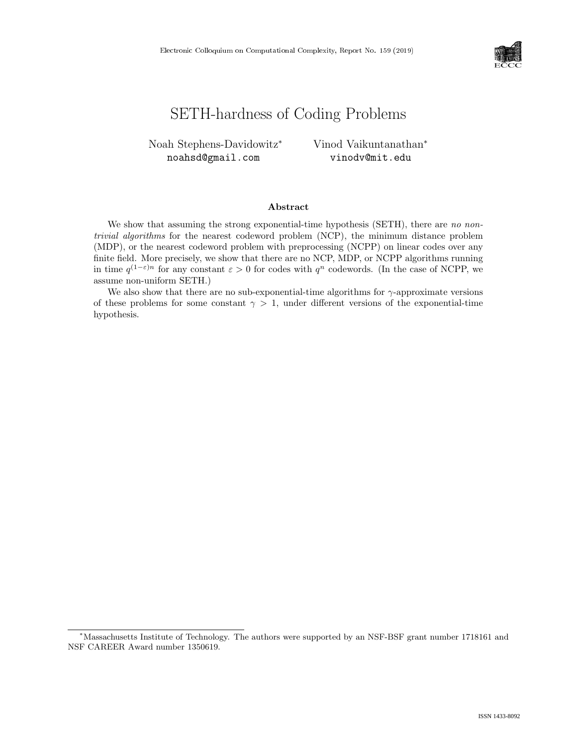

# SETH-hardness of Coding Problems

Noah Stephens-Davidowitz<sup>∗</sup> noahsd@gmail.com

Vinod Vaikuntanathan<sup>∗</sup> vinodv@mit.edu

## Abstract

We show that assuming the strong exponential-time hypothesis (SETH), there are no nontrivial algorithms for the nearest codeword problem (NCP), the minimum distance problem (MDP), or the nearest codeword problem with preprocessing (NCPP) on linear codes over any finite field. More precisely, we show that there are no NCP, MDP, or NCPP algorithms running in time  $q^{(1-\varepsilon)n}$  for any constant  $\varepsilon > 0$  for codes with  $q^n$  codewords. (In the case of NCPP, we assume non-uniform SETH.)

We also show that there are no sub-exponential-time algorithms for  $\gamma$ -approximate versions of these problems for some constant  $\gamma > 1$ , under different versions of the exponential-time hypothesis.

<sup>∗</sup>Massachusetts Institute of Technology. The authors were supported by an NSF-BSF grant number 1718161 and NSF CAREER Award number 1350619.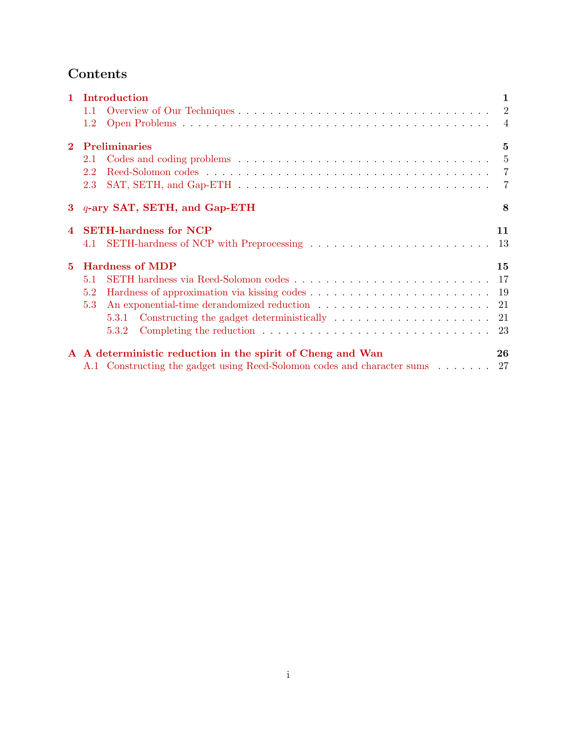# Contents

|                | 1 Introduction                                                                                            | $\mathbf{1}$   |
|----------------|-----------------------------------------------------------------------------------------------------------|----------------|
|                | 1.1                                                                                                       |                |
|                | $1.2\,$                                                                                                   |                |
| $\mathbf{2}$   | <b>Preliminaries</b>                                                                                      | 5              |
|                | 2.1                                                                                                       | 5              |
|                | 2.2                                                                                                       | $\overline{7}$ |
|                | 2.3                                                                                                       |                |
|                | 3 q-ary SAT, SETH, and Gap-ETH                                                                            | 8              |
| $\overline{4}$ | <b>SETH-hardness for NCP</b>                                                                              | 11             |
|                | 4.1                                                                                                       |                |
| 5              | <b>Hardness of MDP</b>                                                                                    | 15             |
|                | 5.1                                                                                                       |                |
|                | 5.2                                                                                                       |                |
|                | 5.3                                                                                                       |                |
|                | 5.3.1                                                                                                     |                |
|                | Completing the reduction $\ldots \ldots \ldots \ldots \ldots \ldots \ldots \ldots \ldots \ldots$<br>5.3.2 |                |
|                | A A deterministic reduction in the spirit of Cheng and Wan                                                | 26             |
|                | A.1 Constructing the gadget using Reed-Solomon codes and character sums 27                                |                |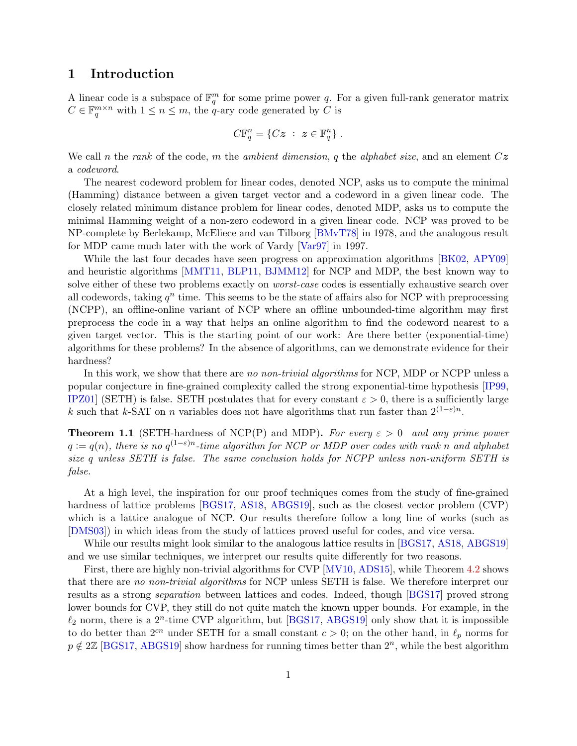# <span id="page-2-0"></span>1 Introduction

A linear code is a subspace of  $\mathbb{F}_q^m$  for some prime power q. For a given full-rank generator matrix  $C \in \mathbb{F}_q^{m \times n}$  with  $1 \leq n \leq m$ , the q-ary code generated by C is

$$
C\mathbb{F}_q^n = \{Cz \; : \; z \in \mathbb{F}_q^n\} \; .
$$

We call n the rank of the code, m the ambient dimension, q the alphabet size, and an element  $C\overline{z}$ a codeword.

The nearest codeword problem for linear codes, denoted NCP, asks us to compute the minimal (Hamming) distance between a given target vector and a codeword in a given linear code. The closely related minimum distance problem for linear codes, denoted MDP, asks us to compute the minimal Hamming weight of a non-zero codeword in a given linear code. NCP was proved to be NP-complete by Berlekamp, McEliece and van Tilborg [\[BMvT78\]](#page-26-0) in 1978, and the analogous result for MDP came much later with the work of Vardy [\[Var97\]](#page-27-1) in 1997.

While the last four decades have seen progress on approximation algorithms [\[BK02,](#page-26-1) [APY09\]](#page-26-2) and heuristic algorithms [\[MMT11,](#page-27-2) [BLP11,](#page-26-3) [BJMM12\]](#page-26-4) for NCP and MDP, the best known way to solve either of these two problems exactly on *worst-case* codes is essentially exhaustive search over all codewords, taking  $q^n$  time. This seems to be the state of affairs also for NCP with preprocessing (NCPP), an offline-online variant of NCP where an offline unbounded-time algorithm may first preprocess the code in a way that helps an online algorithm to find the codeword nearest to a given target vector. This is the starting point of our work: Are there better (exponential-time) algorithms for these problems? In the absence of algorithms, can we demonstrate evidence for their hardness?

In this work, we show that there are no non-trivial algorithms for NCP, MDP or NCPP unless a popular conjecture in fine-grained complexity called the strong exponential-time hypothesis [\[IP99,](#page-26-5) [IPZ01\]](#page-26-6) (SETH) is false. SETH postulates that for every constant  $\varepsilon > 0$ , there is a sufficiently large k such that k-SAT on n variables does not have algorithms that run faster than  $2^{(1-\varepsilon)n}$ .

<span id="page-2-1"></span>**Theorem 1.1** (SETH-hardness of NCP(P) and MDP). For every  $\varepsilon > 0$  and any prime power  $q := q(n)$ , there is no  $q^{(1-\varepsilon)n}$ -time algorithm for NCP or MDP over codes with rank n and alphabet size q unless SETH is false. The same conclusion holds for NCPP unless non-uniform SETH is false.

At a high level, the inspiration for our proof techniques comes from the study of fine-grained hardness of lattice problems [\[BGS17,](#page-26-7) [AS18,](#page-26-8) [ABGS19\]](#page-25-0), such as the closest vector problem (CVP) which is a lattice analogue of NCP. Our results therefore follow a long line of works (such as [\[DMS03\]](#page-26-9)) in which ideas from the study of lattices proved useful for codes, and vice versa.

While our results might look similar to the analogous lattice results in [\[BGS17,](#page-26-7) [AS18,](#page-26-8) [ABGS19\]](#page-25-0) and we use similar techniques, we interpret our results quite differently for two reasons.

First, there are highly non-trivial algorithms for CVP [\[MV10,](#page-27-3) [ADS15\]](#page-25-1), while Theorem [4.2](#page-13-0) shows that there are no non-trivial algorithms for NCP unless SETH is false. We therefore interpret our results as a strong separation between lattices and codes. Indeed, though [\[BGS17\]](#page-26-7) proved strong lower bounds for CVP, they still do not quite match the known upper bounds. For example, in the  $\ell_2$  norm, there is a  $2^n$ -time CVP algorithm, but [\[BGS17,](#page-26-7) [ABGS19\]](#page-25-0) only show that it is impossible to do better than  $2^{cn}$  under SETH for a small constant  $c > 0$ ; on the other hand, in  $\ell_p$  norms for  $p \notin 2\mathbb{Z}$  [\[BGS17,](#page-26-7) [ABGS19\]](#page-25-0) show hardness for running times better than  $2^n$ , while the best algorithm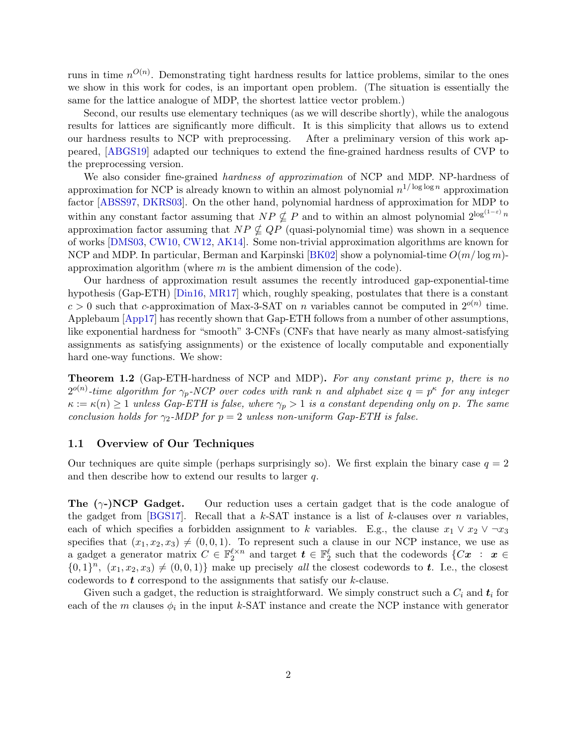<span id="page-3-2"></span>runs in time  $n^{O(n)}$ . Demonstrating tight hardness results for lattice problems, similar to the ones we show in this work for codes, is an important open problem. (The situation is essentially the same for the lattice analogue of MDP, the shortest lattice vector problem.)

Second, our results use elementary techniques (as we will describe shortly), while the analogous results for lattices are significantly more difficult. It is this simplicity that allows us to extend our hardness results to NCP with preprocessing. After a preliminary version of this work appeared, [\[ABGS19\]](#page-25-0) adapted our techniques to extend the fine-grained hardness results of CVP to the preprocessing version.

We also consider fine-grained *hardness of approximation* of NCP and MDP. NP-hardness of approximation for NCP is already known to within an almost polynomial  $n^{1/\log \log n}$  approximation factor [\[ABSS97,](#page-25-2) [DKRS03\]](#page-26-10). On the other hand, polynomial hardness of approximation for MDP to within any constant factor assuming that  $NP \nsubseteq P$  and to within an almost polynomial  $2^{\log(1-\varepsilon)}n$ approximation factor assuming that  $NP \nsubseteq QP$  (quasi-polynomial time) was shown in a sequence of works [\[DMS03,](#page-26-9) [CW10,](#page-26-11) [CW12,](#page-26-12) [AK14\]](#page-25-3). Some non-trivial approximation algorithms are known for NCP and MDP. In particular, Berman and Karpinski [\[BK02\]](#page-26-1) show a polynomial-time  $O(m/\log m)$ approximation algorithm (where  $m$  is the ambient dimension of the code).

Our hardness of approximation result assumes the recently introduced gap-exponential-time hypothesis (Gap-ETH) [\[Din16,](#page-26-13) [MR17\]](#page-27-4) which, roughly speaking, postulates that there is a constant  $c > 0$  such that c-approximation of Max-3-SAT on *n* variables cannot be computed in  $2^{o(n)}$  time. Applebaum [\[App17\]](#page-26-14) has recently shown that Gap-ETH follows from a number of other assumptions, like exponential hardness for "smooth" 3-CNFs (CNFs that have nearly as many almost-satisfying assignments as satisfying assignments) or the existence of locally computable and exponentially hard one-way functions. We show:

<span id="page-3-1"></span>Theorem 1.2 (Gap-ETH-hardness of NCP and MDP). For any constant prime p, there is no  $2^{o(n)}$ -time algorithm for  $\gamma_p$ -NCP over codes with rank n and alphabet size  $q = p^{\kappa}$  for any integer  $\kappa := \kappa(n) \geq 1$  unless Gap-ETH is false, where  $\gamma_p > 1$  is a constant depending only on p. The same conclusion holds for  $\gamma_2$ -MDP for  $p = 2$  unless non-uniform Gap-ETH is false.

#### <span id="page-3-0"></span>1.1 Overview of Our Techniques

Our techniques are quite simple (perhaps surprisingly so). We first explain the binary case  $q = 2$ and then describe how to extend our results to larger q.

**The**  $(\gamma$ -)**NCP Gadget.** Our reduction uses a certain gadget that is the code analogue of the gadget from [\[BGS17\]](#page-26-7). Recall that a k-SAT instance is a list of k-clauses over n variables, each of which specifies a forbidden assignment to k variables. E.g., the clause  $x_1 \vee x_2 \vee \neg x_3$ specifies that  $(x_1, x_2, x_3) \neq (0, 0, 1)$ . To represent such a clause in our NCP instance, we use as a gadget a generator matrix  $C \in \mathbb{F}_2^{\ell \times n}$  and target  $\boldsymbol{t} \in \mathbb{F}_2^{\ell}$  such that the codewords  $\{Cx \; : \; x \in$  $\{0,1\}^n$ ,  $(x_1, x_2, x_3) \neq (0, 0, 1)$  make up precisely all the closest codewords to t. I.e., the closest codewords to  $t$  correspond to the assignments that satisfy our  $k$ -clause.

Given such a gadget, the reduction is straightforward. We simply construct such a  $C_i$  and  $t_i$  for each of the m clauses  $\phi_i$  in the input k-SAT instance and create the NCP instance with generator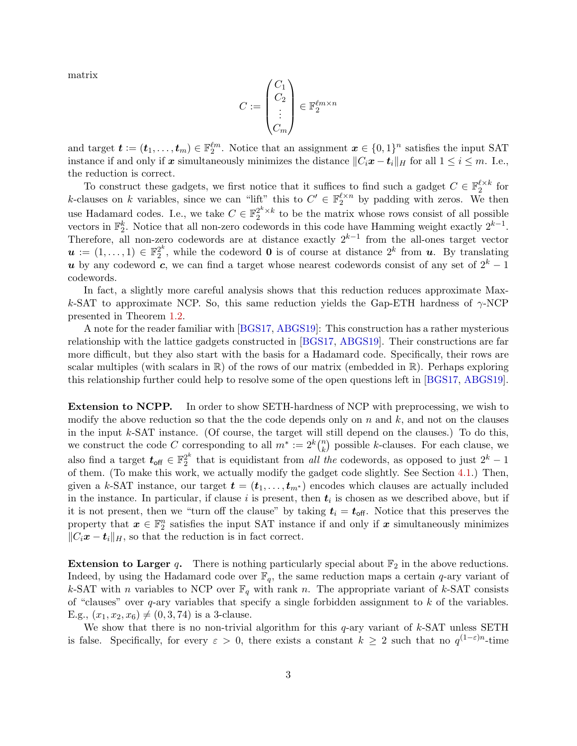<span id="page-4-0"></span>matrix

$$
C:=\begin{pmatrix}C_1\\C_2\\ \vdots\\C_m\end{pmatrix}\in\mathbb{F}_2^{\ell m\times n}
$$

and target  $\boldsymbol{t} := (\boldsymbol{t}_1, \dots, \boldsymbol{t}_m) \in \mathbb{F}_2^{\ell m}$ . Notice that an assignment  $\boldsymbol{x} \in \{0,1\}^n$  satisfies the input SAT instance if and only if x simultaneously minimizes the distance  $||C_i\mathbf{x} - \mathbf{t}_i||_H$  for all  $1 \le i \le m$ . I.e., the reduction is correct.

To construct these gadgets, we first notice that it suffices to find such a gadget  $C \in \mathbb{F}_2^{\ell \times k}$  for k-clauses on k variables, since we can "lift" this to  $C' \in \mathbb{F}_2^{\ell \times n}$  by padding with zeros. We then use Hadamard codes. I.e., we take  $C \in \mathbb{F}_2^{2^k \times k}$  to be the matrix whose rows consist of all possible vectors in  $\mathbb{F}_2^k$ . Notice that all non-zero codewords in this code have Hamming weight exactly  $2^{k-1}$ . Therefore, all non-zero codewords are at distance exactly  $2^{k-1}$  from the all-ones target vector  $\boldsymbol{u}\coloneqq(1,\dots,1)\in \mathbb{F}_2^{2^k}$  $2^k$ , while the codeword **0** is of course at distance  $2^k$  from **u**. By translating u by any codeword c, we can find a target whose nearest codewords consist of any set of  $2^k - 1$ codewords.

In fact, a slightly more careful analysis shows that this reduction reduces approximate Maxk-SAT to approximate NCP. So, this same reduction yields the Gap-ETH hardness of  $\gamma$ -NCP presented in Theorem [1.2.](#page-3-1)

A note for the reader familiar with [\[BGS17,](#page-26-7) [ABGS19\]](#page-25-0): This construction has a rather mysterious relationship with the lattice gadgets constructed in [\[BGS17,](#page-26-7) [ABGS19\]](#page-25-0). Their constructions are far more difficult, but they also start with the basis for a Hadamard code. Specifically, their rows are scalar multiples (with scalars in  $\mathbb{R}$ ) of the rows of our matrix (embedded in  $\mathbb{R}$ ). Perhaps exploring this relationship further could help to resolve some of the open questions left in [\[BGS17,](#page-26-7) [ABGS19\]](#page-25-0).

Extension to NCPP. In order to show SETH-hardness of NCP with preprocessing, we wish to modify the above reduction so that the the code depends only on  $n$  and  $k$ , and not on the clauses in the input k-SAT instance. (Of course, the target will still depend on the clauses.) To do this, we construct the code C corresponding to all  $m^* := 2^k {n \choose k}$  $\binom{n}{k}$  possible k-clauses. For each clause, we also find a target  $t_{\mathsf{off}} \in \mathbb{F}_2^{2^k}$  $2^{k}$  that is equidistant from *all the* codewords, as opposed to just  $2^{k} - 1$ of them. (To make this work, we actually modify the gadget code slightly. See Section [4.1.](#page-14-0)) Then, given a k-SAT instance, our target  $\mathbf{t} = (\mathbf{t}_1, \dots, \mathbf{t}_{m^*})$  encodes which clauses are actually included in the instance. In particular, if clause i is present, then  $t_i$  is chosen as we described above, but if it is not present, then we "turn off the clause" by taking  $t_i = t_{\text{off}}$ . Notice that this preserves the property that  $x \in \mathbb{F}_2^n$  satisfies the input SAT instance if and only if x simultaneously minimizes  $||C_i\mathbf{x} - \mathbf{t}_i||_H$ , so that the reduction is in fact correct.

**Extension to Larger q.** There is nothing particularly special about  $\mathbb{F}_2$  in the above reductions. Indeed, by using the Hadamard code over  $\mathbb{F}_q$ , the same reduction maps a certain q-ary variant of k-SAT with n variables to NCP over  $\mathbb{F}_q$  with rank n. The appropriate variant of k-SAT consists of "clauses" over  $q$ -ary variables that specify a single forbidden assignment to  $k$  of the variables. E.g.,  $(x_1, x_2, x_6) \neq (0, 3, 74)$  is a 3-clause.

We show that there is no non-trivial algorithm for this  $q$ -ary variant of  $k$ -SAT unless SETH is false. Specifically, for every  $\varepsilon > 0$ , there exists a constant  $k \geq 2$  such that no  $q^{(1-\varepsilon)n}$ -time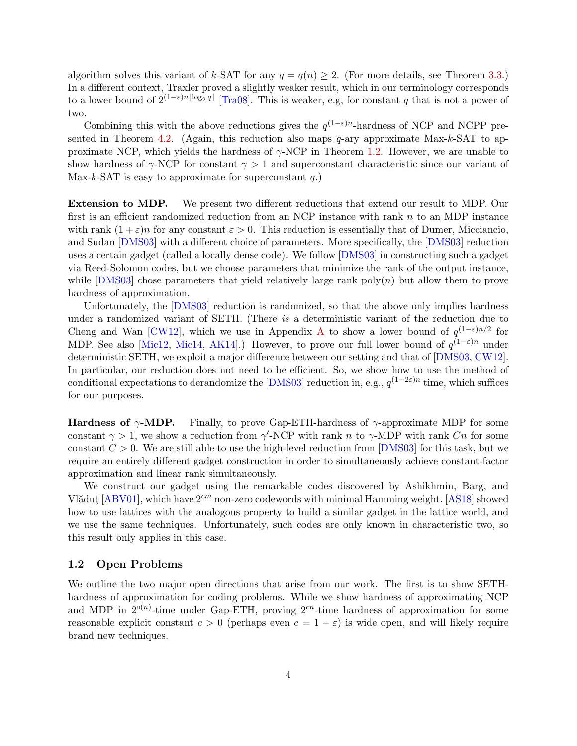<span id="page-5-1"></span>algorithm solves this variant of k-SAT for any  $q = q(n) \geq 2$ . (For more details, see Theorem [3.3.](#page-10-0)) In a different context, Traxler proved a slightly weaker result, which in our terminology corresponds to a lower bound of  $2^{(1-\varepsilon)n\lfloor \log_2 q \rfloor}$  [\[Tra08\]](#page-27-5). This is weaker, e.g, for constant q that is not a power of two.

Combining this with the above reductions gives the  $q^{(1-\varepsilon)n}$ -hardness of NCP and NCPP pre-sented in Theorem [4.2.](#page-13-0) (Again, this reduction also maps  $q$ -ary approximate Max-k-SAT to approximate NCP, which yields the hardness of  $\gamma$ -NCP in Theorem [1.2.](#page-3-1) However, we are unable to show hardness of  $\gamma$ -NCP for constant  $\gamma > 1$  and superconstant characteristic since our variant of Max-k-SAT is easy to approximate for superconstant  $q$ .)

Extension to MDP. We present two different reductions that extend our result to MDP. Our first is an efficient randomized reduction from an NCP instance with rank  $n$  to an MDP instance with rank  $(1+\varepsilon)n$  for any constant  $\varepsilon > 0$ . This reduction is essentially that of Dumer, Micciancio, and Sudan [\[DMS03\]](#page-26-9) with a different choice of parameters. More specifically, the [\[DMS03\]](#page-26-9) reduction uses a certain gadget (called a locally dense code). We follow [\[DMS03\]](#page-26-9) in constructing such a gadget via Reed-Solomon codes, but we choose parameters that minimize the rank of the output instance, while  $[DMS03]$  chose parameters that yield relatively large rank poly $(n)$  but allow them to prove hardness of approximation.

Unfortunately, the [\[DMS03\]](#page-26-9) reduction is randomized, so that the above only implies hardness under a randomized variant of SETH. (There is a deterministic variant of the reduction due to Cheng and Wan [\[CW12\]](#page-26-12), which we use in [A](#page-27-0)ppendix A to show a lower bound of  $q^{(1-\varepsilon)n/2}$  for MDP. See also [\[Mic12,](#page-27-6) [Mic14,](#page-27-7) [AK14\]](#page-25-3).) However, to prove our full lower bound of  $q^{(1-\varepsilon)n}$  under deterministic SETH, we exploit a major difference between our setting and that of [\[DMS03,](#page-26-9) [CW12\]](#page-26-12). In particular, our reduction does not need to be efficient. So, we show how to use the method of conditional expectations to derandomize the [\[DMS03\]](#page-26-9) reduction in, e.g.,  $q^{(1-2\varepsilon)n}$  time, which suffices for our purposes.

**Hardness of**  $\gamma$ **-MDP.** Finally, to prove Gap-ETH-hardness of  $\gamma$ -approximate MDP for some constant  $\gamma > 1$ , we show a reduction from  $\gamma'$ -NCP with rank n to  $\gamma$ -MDP with rank Cn for some constant  $C > 0$ . We are still able to use the high-level reduction from [\[DMS03\]](#page-26-9) for this task, but we require an entirely different gadget construction in order to simultaneously achieve constant-factor approximation and linear rank simultaneously.

We construct our gadget using the remarkable codes discovered by Ashikhmin, Barg, and Vlădut [\[ABV01\]](#page-25-4), which have  $2<sup>cm</sup>$  non-zero codewords with minimal Hamming weight. [\[AS18\]](#page-26-8) showed how to use lattices with the analogous property to build a similar gadget in the lattice world, and we use the same techniques. Unfortunately, such codes are only known in characteristic two, so this result only applies in this case.

#### <span id="page-5-0"></span>1.2 Open Problems

We outline the two major open directions that arise from our work. The first is to show SETHhardness of approximation for coding problems. While we show hardness of approximating NCP and MDP in  $2^{o(n)}$ -time under Gap-ETH, proving  $2^{cn}$ -time hardness of approximation for some reasonable explicit constant  $c > 0$  (perhaps even  $c = 1 - \varepsilon$ ) is wide open, and will likely require brand new techniques.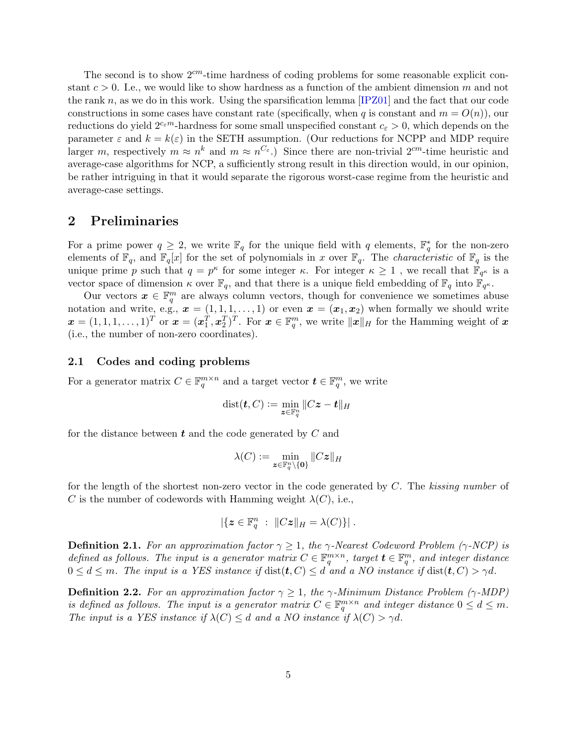<span id="page-6-2"></span>The second is to show  $2<sup>cm</sup>$ -time hardness of coding problems for some reasonable explicit constant  $c > 0$ . I.e., we would like to show hardness as a function of the ambient dimension m and not the rank  $n$ , as we do in this work. Using the sparsification lemma  $[IPZ01]$  and the fact that our code constructions in some cases have constant rate (specifically, when q is constant and  $m = O(n)$ ), our reductions do yield  $2^{c_{\varepsilon}m}$ -hardness for some small unspecified constant  $c_{\varepsilon} > 0$ , which depends on the parameter  $\varepsilon$  and  $k = k(\varepsilon)$  in the SETH assumption. (Our reductions for NCPP and MDP require larger m, respectively  $m \approx n^k$  and  $m \approx n^{C_{\varepsilon}}$ .) Since there are non-trivial  $2^{cm}$ -time heuristic and average-case algorithms for NCP, a sufficiently strong result in this direction would, in our opinion, be rather intriguing in that it would separate the rigorous worst-case regime from the heuristic and average-case settings.

## <span id="page-6-0"></span>2 Preliminaries

For a prime power  $q \geq 2$ , we write  $\mathbb{F}_q$  for the unique field with q elements,  $\mathbb{F}_q^*$  for the non-zero elements of  $\mathbb{F}_q$ , and  $\mathbb{F}_q[x]$  for the set of polynomials in x over  $\mathbb{F}_q$ . The *characteristic* of  $\mathbb{F}_q$  is the unique prime p such that  $q = p^{\kappa}$  for some integer  $\kappa$ . For integer  $\kappa \geq 1$ , we recall that  $\mathbb{F}_{q^{\kappa}}$  is a vector space of dimension  $\kappa$  over  $\mathbb{F}_q$ , and that there is a unique field embedding of  $\mathbb{F}_q$  into  $\mathbb{F}_{q^{\kappa}}$ .

Our vectors  $x \in \mathbb{F}_q^m$  are always column vectors, though for convenience we sometimes abuse notation and write, e.g.,  $\mathbf{x} = (1, 1, 1, \ldots, 1)$  or even  $\mathbf{x} = (\mathbf{x}_1, \mathbf{x}_2)$  when formally we should write  $\boldsymbol{x} = (1, 1, 1, \dots, 1)^T$  or  $\boldsymbol{x} = (\boldsymbol{x}_1^T, \boldsymbol{x}_2^T)^T$ . For  $\boldsymbol{x} \in \mathbb{F}_q^m$ , we write  $\|\boldsymbol{x}\|_H$  for the Hamming weight of  $\boldsymbol{x}$ (i.e., the number of non-zero coordinates).

## <span id="page-6-1"></span>2.1 Codes and coding problems

For a generator matrix  $C \in \mathbb{F}_q^{m \times n}$  and a target vector  $\mathbf{t} \in \mathbb{F}_q^m$ , we write

$$
\text{dist}(\boldsymbol{t},C) \vcentcolon= \min_{\boldsymbol{z} \in \mathbb{F}_q^n} \|C\boldsymbol{z} - \boldsymbol{t}\|_H
$$

for the distance between  $t$  and the code generated by  $C$  and

$$
\lambda(C):=\min_{\pmb{z}\in\mathbb{F}_q^n\backslash\{\pmb{0}\}}\|C\pmb{z}\|_H
$$

for the length of the shortest non-zero vector in the code generated by  $C$ . The kissing number of C is the number of codewords with Hamming weight  $\lambda(C)$ , i.e.,

$$
|\{z \in \mathbb{F}_q^n : ||Cz||_H = \lambda(C)\}|.
$$

**Definition 2.1.** For an approximation factor  $\gamma \geq 1$ , the  $\gamma$ -Nearest Codeword Problem ( $\gamma$ -NCP) is defined as follows. The input is a generator matrix  $C \in \mathbb{F}_q^{m \times n}$ , target  $\mathbf{t} \in \mathbb{F}_q^m$ , and integer distance  $0 \leq d \leq m$ . The input is a YES instance if  $dist(t, C) \leq d$  and a NO instance if  $dist(t, C) > \gamma d$ .

**Definition 2.2.** For an approximation factor  $\gamma \geq 1$ , the  $\gamma$ -Minimum Distance Problem ( $\gamma$ -MDP) is defined as follows. The input is a generator matrix  $C \in \mathbb{F}_q^{m \times n}$  and integer distance  $0 \leq d \leq m$ . The input is a YES instance if  $\lambda(C) \leq d$  and a NO instance if  $\lambda(C) > \gamma d$ .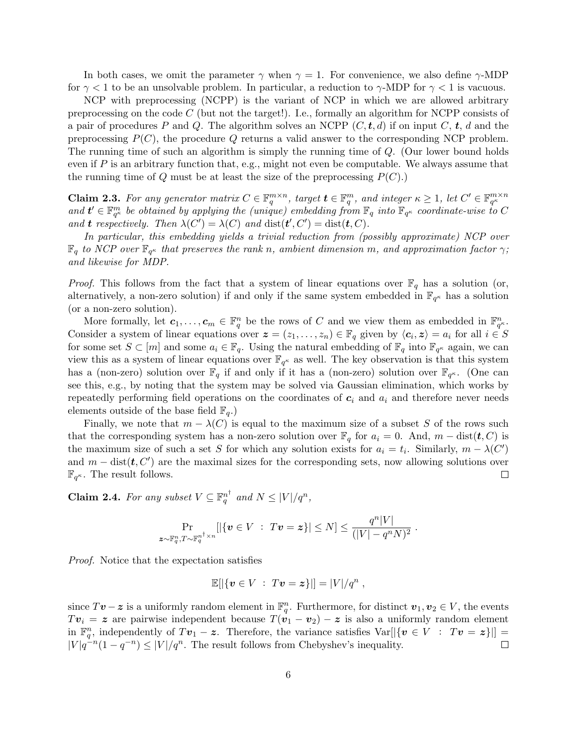In both cases, we omit the parameter  $\gamma$  when  $\gamma = 1$ . For convenience, we also define  $\gamma$ -MDP for  $\gamma$  < 1 to be an unsolvable problem. In particular, a reduction to  $\gamma$ -MDP for  $\gamma$  < 1 is vacuous.

NCP with preprocessing (NCPP) is the variant of NCP in which we are allowed arbitrary preprocessing on the code  $C$  (but not the target!). I.e., formally an algorithm for NCPP consists of a pair of procedures P and Q. The algorithm solves an NCPP  $(C, t, d)$  if on input C, t, d and the preprocessing  $P(C)$ , the procedure Q returns a valid answer to the corresponding NCP problem. The running time of such an algorithm is simply the running time of Q. (Our lower bound holds even if  $P$  is an arbitrary function that, e.g., might not even be computable. We always assume that the running time of  $Q$  must be at least the size of the preprocessing  $P(C)$ .)

<span id="page-7-0"></span>**Claim 2.3.** For any generator matrix  $C \in \mathbb{F}_q^{m \times n}$ , target  $\mathbf{t} \in \mathbb{F}_q^m$ , and integer  $\kappa \geq 1$ , let  $C' \in \mathbb{F}_{q^{\kappa}}^{m \times n}$ and  $t' \in \mathbb{F}_{q^{\kappa}}^m$  be obtained by applying the (unique) embedding from  $\mathbb{F}_q$  into  $\mathbb{F}_{q^{\kappa}}$  coordinate-wise to C and **t** respectively. Then  $\lambda(C') = \lambda(C)$  and  $\text{dist}(t', C') = \text{dist}(t, C)$ .

In particular, this embedding yields a trivial reduction from (possibly approximate) NCP over  $\mathbb{F}_q$  to NCP over  $\mathbb{F}_{q^{\kappa}}$  that preserves the rank n, ambient dimension m, and approximation factor  $\gamma$ ; and likewise for MDP.

*Proof.* This follows from the fact that a system of linear equations over  $\mathbb{F}_q$  has a solution (or, alternatively, a non-zero solution) if and only if the same system embedded in  $\mathbb{F}_{q^{\kappa}}$  has a solution (or a non-zero solution).

More formally, let  $c_1, \ldots, c_m \in \mathbb{F}_q^n$  be the rows of C and we view them as embedded in  $\mathbb{F}_{q^n}^n$ . Consider a system of linear equations over  $\boldsymbol{z} = (z_1, \ldots, z_n) \in \mathbb{F}_q$  given by  $\langle c_i, \boldsymbol{z} \rangle = a_i$  for all  $i \in S$ for some set  $S \subset [m]$  and some  $a_i \in \mathbb{F}_q$ . Using the natural embedding of  $\mathbb{F}_q$  into  $\mathbb{F}_{q^{\kappa}}$  again, we can view this as a system of linear equations over  $\mathbb{F}_{q^{\kappa}}$  as well. The key observation is that this system has a (non-zero) solution over  $\mathbb{F}_q$  if and only if it has a (non-zero) solution over  $\mathbb{F}_{q^{\kappa}}$ . (One can see this, e.g., by noting that the system may be solved via Gaussian elimination, which works by repeatedly performing field operations on the coordinates of  $c_i$  and  $a_i$  and therefore never needs elements outside of the base field  $\mathbb{F}_q$ .

Finally, we note that  $m - \lambda(C)$  is equal to the maximum size of a subset S of the rows such that the corresponding system has a non-zero solution over  $\mathbb{F}_q$  for  $a_i = 0$ . And,  $m - \text{dist}(\boldsymbol{t}, C)$  is the maximum size of such a set S for which any solution exists for  $a_i = t_i$ . Similarly,  $m - \lambda(C')$ and  $m - \text{dist}(\boldsymbol{t}, C')$  are the maximal sizes for the corresponding sets, now allowing solutions over  $\mathbb{F}_{q^{\kappa}}$ . The result follows.  $\Box$ 

<span id="page-7-1"></span>**Claim 2.4.** For any subset  $V \subseteq \mathbb{F}_q^{n^{\dagger}}$  and  $N \leq |V|/q^n$ ,

$$
\Pr_{\bm{z} \sim \mathbb{F}_q^n, T \sim \mathbb{F}_q^{n^{\dagger} \times n}} [|\{\bm{v} \in V \ : \ T\bm{v} = \bm{z}\}| \le N] \le \frac{q^n|V|}{(|V| - q^n N)^2}.
$$

Proof. Notice that the expectation satisfies

$$
\mathbb{E}[|\{v \in V : Tv = z\}|] = |V|/q^n,
$$

since  $T\mathbf{v} - \mathbf{z}$  is a uniformly random element in  $\mathbb{F}_q^n$ . Furthermore, for distinct  $\mathbf{v}_1, \mathbf{v}_2 \in V$ , the events  $Tv_i = z$  are pairwise independent because  $T(v_1 - v_2) - z$  is also a uniformly random element in  $\mathbb{F}_q^n$ , independently of  $Tv_1 - z$ . Therefore, the variance satisfies  $\text{Var}[{\{\mathbf{v} \in V : Tv = z\}}] =$  $|V|q^{-n}(1-q^{-n}) \leq |V|/q^n$ . The result follows from Chebyshev's inequality.  $\Box$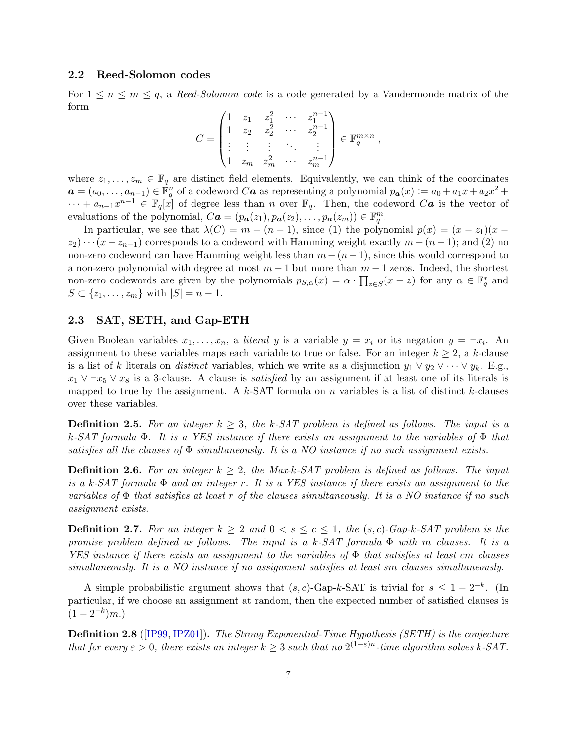## <span id="page-8-2"></span><span id="page-8-0"></span>2.2 Reed-Solomon codes

For  $1 \leq n \leq m \leq q$ , a Reed-Solomon code is a code generated by a Vandermonde matrix of the form

$$
C = \begin{pmatrix} 1 & z_1 & z_1^2 & \cdots & z_1^{n-1} \\ 1 & z_2 & z_2^2 & \cdots & z_2^{n-1} \\ \vdots & \vdots & \vdots & \ddots & \vdots \\ 1 & z_m & z_m^2 & \cdots & z_m^{n-1} \end{pmatrix} \in \mathbb{F}_q^{m \times n},
$$

where  $z_1, \ldots, z_m \in \mathbb{F}_q$  are distinct field elements. Equivalently, we can think of the coordinates  $a = (a_0, \ldots, a_{n-1}) \in \mathbb{F}_q^n$  of a codeword  $Ca$  as representing a polynomial  $p_a(x) := a_0 + a_1x + a_2x^2 +$  $\cdots + a_{n-1}x^{n-1} \in \mathbb{F}_q[x]$  of degree less than n over  $\mathbb{F}_q$ . Then, the codeword Ca is the vector of evaluations of the polynomial,  $C\boldsymbol{a} = (p_{\boldsymbol{a}}(z_1), p_{\boldsymbol{a}}(z_2), \ldots, p_{\boldsymbol{a}}(z_m)) \in \mathbb{F}_q^m$ .

In particular, we see that  $\lambda(C) = m - (n - 1)$ , since (1) the polynomial  $p(x) = (x - z_1)(x (z_2)\cdots(z-z_{n-1})$  corresponds to a codeword with Hamming weight exactly  $m-(n-1)$ ; and (2) no non-zero codeword can have Hamming weight less than  $m - (n-1)$ , since this would correspond to a non-zero polynomial with degree at most  $m-1$  but more than  $m-1$  zeros. Indeed, the shortest non-zero codewords are given by the polynomials  $p_{S,\alpha}(x) = \alpha \cdot \prod_{z \in S}(x - z)$  for any  $\alpha \in \mathbb{F}_q^*$  and  $S \subset \{z_1, \ldots, z_m\}$  with  $|S| = n - 1$ .

#### <span id="page-8-1"></span>2.3 SAT, SETH, and Gap-ETH

Given Boolean variables  $x_1, \ldots, x_n$ , a *literal* y is a variable  $y = x_i$  or its negation  $y = \neg x_i$ . An assignment to these variables maps each variable to true or false. For an integer  $k \geq 2$ , a k-clause is a list of k literals on *distinct* variables, which we write as a disjunction  $y_1 \vee y_2 \vee \cdots \vee y_k$ . E.g.,  $x_1 \vee \neg x_5 \vee x_8$  is a 3-clause. A clause is *satisfied* by an assignment if at least one of its literals is mapped to true by the assignment. A  $k$ -SAT formula on n variables is a list of distinct k-clauses over these variables.

**Definition 2.5.** For an integer  $k \geq 3$ , the k-SAT problem is defined as follows. The input is a k-SAT formula  $\Phi$ . It is a YES instance if there exists an assignment to the variables of  $\Phi$  that satisfies all the clauses of  $\Phi$  simultaneously. It is a NO instance if no such assignment exists.

**Definition 2.6.** For an integer  $k \geq 2$ , the Max-k-SAT problem is defined as follows. The input is a k-SAT formula  $\Phi$  and an integer r. It is a YES instance if there exists an assignment to the variables of  $\Phi$  that satisfies at least r of the clauses simultaneously. It is a NO instance if no such assignment exists.

**Definition 2.7.** For an integer  $k \geq 2$  and  $0 < s \leq c \leq 1$ , the  $(s, c)$ -Gap-k-SAT problem is the promise problem defined as follows. The input is a k-SAT formula  $\Phi$  with m clauses. It is a YES instance if there exists an assignment to the variables of  $\Phi$  that satisfies at least cm clauses simultaneously. It is a NO instance if no assignment satisfies at least sm clauses simultaneously.

A simple probabilistic argument shows that  $(s, c)$ -Gap-k-SAT is trivial for  $s \leq 1 - 2^{-k}$ . (In particular, if we choose an assignment at random, then the expected number of satisfied clauses is  $(1-2^{-k})m.$ 

Definition 2.8 ([\[IP99,](#page-26-5) [IPZ01\]](#page-26-6)). The Strong Exponential-Time Hypothesis (SETH) is the conjecture that for every  $\varepsilon > 0$ , there exists an integer  $k \geq 3$  such that no  $2^{(1-\varepsilon)n}$ -time algorithm solves k-SAT.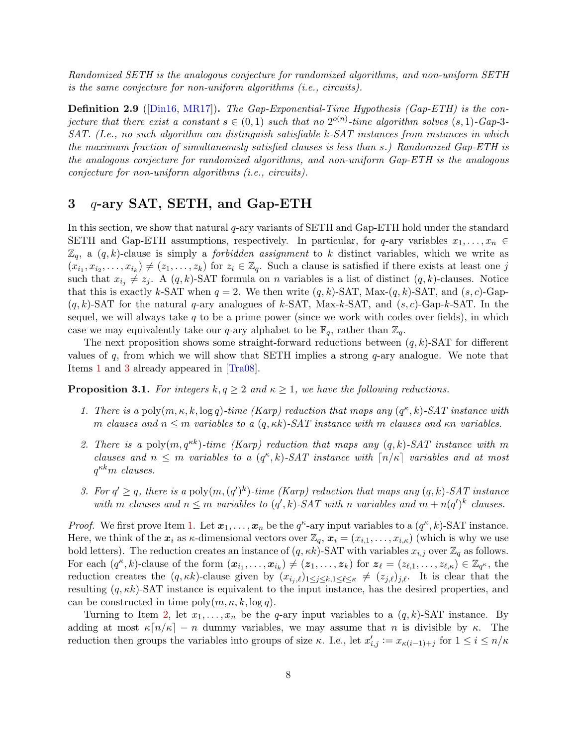<span id="page-9-5"></span>Randomized SETH is the analogous conjecture for randomized algorithms, and non-uniform SETH is the same conjecture for non-uniform algorithms (i.e., circuits).

Definition 2.9 ([\[Din16,](#page-26-13) [MR17\]](#page-27-4)). The Gap-Exponential-Time Hypothesis (Gap-ETH) is the conjecture that there exist a constant  $s \in (0,1)$  such that no  $2^{o(n)}$ -time algorithm solves  $(s,1)$ -Gap-3-SAT. (I.e., no such algorithm can distinguish satisfiable k-SAT instances from instances in which the maximum fraction of simultaneously satisfied clauses is less than s.) Randomized Gap-ETH is the analogous conjecture for randomized algorithms, and non-uniform Gap-ETH is the analogous conjecture for non-uniform algorithms (i.e., circuits).

# <span id="page-9-0"></span> $3\alpha$ -ary SAT, SETH, and Gap-ETH

In this section, we show that natural q-ary variants of SETH and Gap-ETH hold under the standard SETH and Gap-ETH assumptions, respectively. In particular, for q-ary variables  $x_1, \ldots, x_n \in$  $\mathbb{Z}_q$ , a  $(q, k)$ -clause is simply a *forbidden assignment* to k distinct variables, which we write as  $(x_{i_1}, x_{i_2}, \ldots, x_{i_k}) \neq (z_1, \ldots, z_k)$  for  $z_i \in \mathbb{Z}_q$ . Such a clause is satisfied if there exists at least one j such that  $x_{i_j} \neq z_j$ . A  $(q, k)$ -SAT formula on n variables is a list of distinct  $(q, k)$ -clauses. Notice that this is exactly k-SAT when  $q = 2$ . We then write  $(q, k)$ -SAT, Max- $(q, k)$ -SAT, and  $(s, c)$ -Gap- $(q, k)$ -SAT for the natural q-ary analogues of k-SAT, Max-k-SAT, and  $(s, c)$ -Gap-k-SAT. In the sequel, we will always take  $q$  to be a prime power (since we work with codes over fields), in which case we may equivalently take our q-ary alphabet to be  $\mathbb{F}_q$ , rather than  $\mathbb{Z}_q$ .

The next proposition shows some straight-forward reductions between  $(q, k)$ -SAT for different values of  $q$ , from which we will show that SETH implies a strong  $q$ -ary analogue. We note that Items [1](#page-9-1) and [3](#page-9-2) already appeared in [\[Tra08\]](#page-27-5).

<span id="page-9-4"></span><span id="page-9-1"></span>**Proposition 3.1.** For integers  $k, q \geq 2$  and  $\kappa \geq 1$ , we have the following reductions.

- 1. There is a poly $(m, \kappa, k, \log q)$ -time (Karp) reduction that maps any  $(q^{\kappa}, k)$ -SAT instance with m clauses and  $n \leq m$  variables to a  $(q, \kappa k)$ -SAT instance with m clauses and  $\kappa n$  variables.
- <span id="page-9-3"></span>2. There is a poly $(m, q^{\kappa k})$ -time (Karp) reduction that maps any  $(q, k)$ -SAT instance with m clauses and  $n \leq m$  variables to a  $(q^{\kappa}, k)$ -SAT instance with  $\lceil n/\kappa \rceil$  variables and at most  $q^{\kappa k}m$  clauses.
- <span id="page-9-2"></span>3. For  $q' \geq q$ , there is a poly $(m, (q')^k)$ -time (Karp) reduction that maps any  $(q, k)$ -SAT instance with m clauses and  $n \leq m$  variables to  $(q', k)$ -SAT with n variables and  $m + n(q')^k$  clauses.

*Proof.* We first prove Item [1.](#page-9-1) Let  $x_1, \ldots, x_n$  be the  $q^{\kappa}$ -ary input variables to a  $(q^{\kappa}, k)$ -SAT instance. Here, we think of the  $x_i$  as  $\kappa$ -dimensional vectors over  $\mathbb{Z}_q$ ,  $x_i = (x_{i,1}, \ldots, x_{i,\kappa})$  (which is why we use bold letters). The reduction creates an instance of  $(q, \kappa k)$ -SAT with variables  $x_{i,j}$  over  $\mathbb{Z}_q$  as follows. For each  $(q^{\kappa}, k)$ -clause of the form  $(\boldsymbol{x}_{i_1}, \ldots, \boldsymbol{x}_{i_k}) \neq (\boldsymbol{z}_1, \ldots, \boldsymbol{z}_k)$  for  $\boldsymbol{z}_{\ell} = (z_{\ell,1}, \ldots, z_{\ell,\kappa}) \in \mathbb{Z}_{q^{\kappa}},$  the reduction creates the  $(q, \kappa k)$ -clause given by  $(x_{i_j,\ell})_{1\leq j\leq k,1\leq \ell \leq \kappa} \neq (z_{j,\ell})_{j,\ell}$ . It is clear that the resulting  $(q, \kappa k)$ -SAT instance is equivalent to the input instance, has the desired properties, and can be constructed in time  $\text{poly}(m, \kappa, k, \log q)$ .

Turning to Item [2,](#page-9-3) let  $x_1, \ldots, x_n$  be the q-ary input variables to a  $(q, k)$ -SAT instance. By adding at most  $\kappa\lceil n/\kappa\rceil - n$  dummy variables, we may assume that n is divisible by  $\kappa$ . The reduction then groups the variables into groups of size  $\kappa$ . I.e., let  $x'_{i,j} := x_{\kappa(i-1)+j}$  for  $1 \leq i \leq n/\kappa$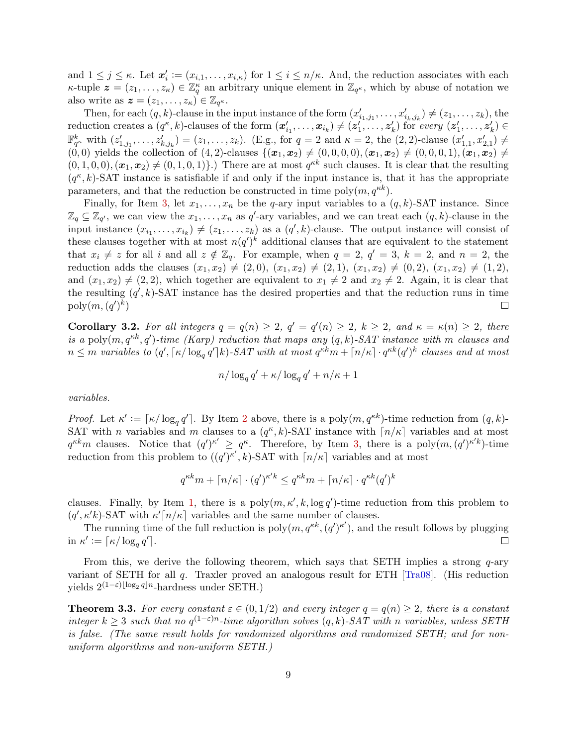<span id="page-10-2"></span>and  $1 \leq j \leq \kappa$ . Let  $\mathbf{x}'_i := (x_{i,1}, \ldots, x_{i,\kappa})$  for  $1 \leq i \leq n/\kappa$ . And, the reduction associates with each  $\kappa$ -tuple  $\boldsymbol{z} = (z_1, \ldots, z_{\kappa}) \in \mathbb{Z}_q^{\kappa}$  an arbitrary unique element in  $\mathbb{Z}_{q^{\kappa}}$ , which by abuse of notation we also write as  $\boldsymbol{z} = (z_1, \ldots, z_{\kappa})^2 \in \mathbb{Z}_{q^{\kappa}}$ .

Then, for each  $(q, k)$ -clause in the input instance of the form  $(x'_{i_1, j_1}, \ldots, x'_{i_k, j_k}) \neq (z_1, \ldots, z_k)$ , the reduction creates a  $(q^{\kappa}, k)$ -clauses of the form  $(x'_{i_1}, \ldots, x_{i_k}) \neq (z'_{1}, \ldots, z'_{k})$  for every  $(z'_{1}, \ldots, z'_{k}) \in$  $\mathbb{F}_{q^{\kappa}}^{k}$  with  $(z'_{1,j_1},...,z'_{k,j_k}) = (z_1,...,z_k)$ . (E.g., for  $q = 2$  and  $\kappa = 2$ , the  $(2, 2)$ -clause  $(x'_{1,1}, x'_{2,1}) \neq$  $(0, 0)$  yields the collection of  $(4, 2)$ -clauses  $\{(x_1, x_2) \neq (0, 0, 0, 0), (x_1, x_2) \neq (0, 0, 0, 1), (x_1, x_2) \neq (0, 0, 0, 1)\}$  $(0, 1, 0, 0), (\mathbf{x}_1, \mathbf{x}_2) \neq (0, 1, 0, 1)$ .) There are at most  $q^{\kappa k}$  such clauses. It is clear that the resulting  $(q<sup>\kappa</sup>, k)$ -SAT instance is satisfiable if and only if the input instance is, that it has the appropriate parameters, and that the reduction be constructed in time  $\text{poly}(m, q^{\kappa k})$ .

Finally, for Item [3,](#page-9-2) let  $x_1, \ldots, x_n$  be the q-ary input variables to a  $(q, k)$ -SAT instance. Since  $\mathbb{Z}_q \subseteq \mathbb{Z}_{q'}$ , we can view the  $x_1, \ldots, x_n$  as  $q'$ -ary variables, and we can treat each  $(q, k)$ -clause in the input instance  $(x_{i_1},...,x_{i_k}) \neq (z_1,...,z_k)$  as a  $(q',k)$ -clause. The output instance will consist of these clauses together with at most  $n(q')^k$  additional clauses that are equivalent to the statement that  $x_i \neq z$  for all i and all  $z \notin \mathbb{Z}_q$ . For example, when  $q = 2$ ,  $q' = 3$ ,  $k = 2$ , and  $n = 2$ , the reduction adds the clauses  $(x_1, x_2) \neq (2, 0), (x_1, x_2) \neq (2, 1), (x_1, x_2) \neq (0, 2), (x_1, x_2) \neq (1, 2),$ and  $(x_1, x_2) \neq (2, 2)$ , which together are equivalent to  $x_1 \neq 2$  and  $x_2 \neq 2$ . Again, it is clear that the resulting  $(q', k)$ -SAT instance has the desired properties and that the reduction runs in time  $\mathrm{poly}(m,(q')^k)$  $\Box$ 

<span id="page-10-1"></span>**Corollary 3.2.** For all integers  $q = q(n) \geq 2$ ,  $q' = q'(n) \geq 2$ ,  $k \geq 2$ , and  $\kappa = \kappa(n) \geq 2$ , there is a poly $(m, q^{\kappa k}, q')$ -time (Karp) reduction that maps any  $(q, k)$ -SAT instance with m clauses and  $n\leq m$  variables to  $(q', \lceil \kappa/\log_q q'\rceil k)$ -SAT with at most  $q^{\kappa k}m + \lceil n/\kappa \rceil \cdot q^{\kappa k} (q')^k$  clauses and at most

$$
n/\log_q q' + \kappa/\log_q q' + n/\kappa + 1
$$

variables.

Proof. Let  $\kappa' := \lceil \kappa / \log_q q' \rceil$ . By Item [2](#page-9-3) above, there is a poly $(m, q^{\kappa k})$ -time reduction from  $(q, k)$ -SAT with *n* variables and *m* clauses to a  $(q<sup>\kappa</sup>, k)$ -SAT instance with  $\lceil n/\kappa \rceil$  variables and at most  $q^{\kappa k}m$  clauses. Notice that  $(q')^{\kappa'} \geq q^{\kappa}$ . Therefore, by Item [3,](#page-9-2) there is a poly $(m, (q')^{\kappa' k})$ -time reduction from this problem to  $((q')^{\kappa'}, k)$ -SAT with  $\lceil n/\kappa \rceil$  variables and at most

$$
q^{\kappa k} m + \lceil n/\kappa \rceil \cdot (q')^{\kappa' k} \leq q^{\kappa k} m + \lceil n/\kappa \rceil \cdot q^{\kappa k} (q')^k
$$

clauses. Finally, by Item [1,](#page-9-1) there is a  $poly(m, \kappa', k, \log q')$ -time reduction from this problem to  $(q', \kappa' k)$ -SAT with  $\kappa' [n/\kappa]$  variables and the same number of clauses.

The running time of the full reduction is  $poly(m, q^{\kappa k}, (q')^{\kappa'})$ , and the result follows by plugging in  $\kappa' := \lceil \kappa / \log_q q' \rceil$ .  $\Box$ 

From this, we derive the following theorem, which says that SETH implies a strong  $q$ -ary variant of SETH for all q. Traxler proved an analogous result for ETH [\[Tra08\]](#page-27-5). (His reduction yields  $2^{(1-\varepsilon)\lfloor \log_2 q \rfloor n}$ -hardness under SETH.)

<span id="page-10-0"></span>**Theorem 3.3.** For every constant  $\varepsilon \in (0, 1/2)$  and every integer  $q = q(n) \geq 2$ , there is a constant integer  $k \geq 3$  such that no  $q^{(1-\varepsilon)n}$ -time algorithm solves  $(q, k)$ -SAT with n variables, unless SETH is false. (The same result holds for randomized algorithms and randomized SETH; and for nonuniform algorithms and non-uniform SETH.)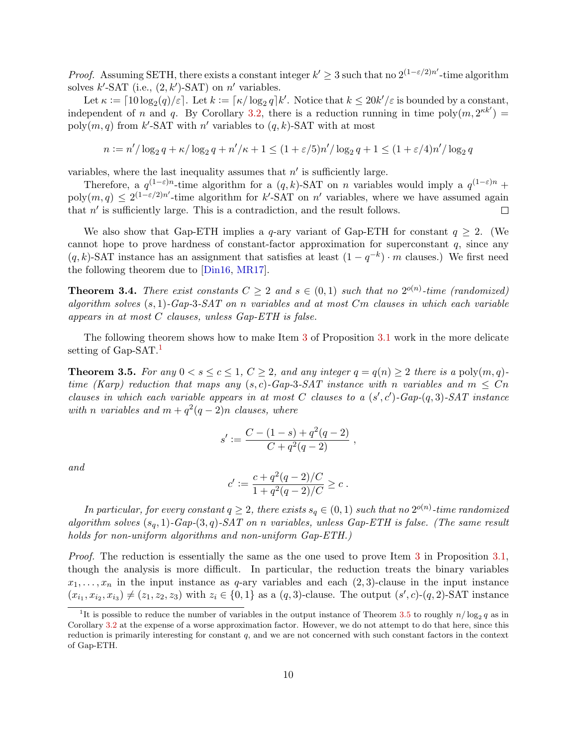<span id="page-11-2"></span>*Proof.* Assuming SETH, there exists a constant integer  $k' \geq 3$  such that no  $2^{(1-\epsilon/2)n'}$ -time algorithm solves  $k'$ -SAT (i.e.,  $(2, k')$ -SAT) on n' variables.

Let  $\kappa := \lceil 10 \log_2(q)/\varepsilon \rceil$ . Let  $k := \lceil \kappa / \log_2 q \rceil k'$ . Notice that  $k \leq 20k'/\varepsilon$  is bounded by a constant, independent of n and q. By Corollary [3.2,](#page-10-1) there is a reduction running in time poly $(m, 2^{\kappa k'})$ poly $(m, q)$  from k'-SAT with n' variables to  $(q, k)$ -SAT with at most

$$
n := n'/\log_2 q + \kappa/\log_2 q + n'/\kappa + 1 \le (1 + \varepsilon/5)n'/\log_2 q + 1 \le (1 + \varepsilon/4)n'/\log_2 q
$$

variables, where the last inequality assumes that  $n'$  is sufficiently large.

Therefore, a  $q^{(1-\varepsilon)n}$ -time algorithm for a  $(q, k)$ -SAT on *n* variables would imply a  $q^{(1-\varepsilon)n}$  +  $poly(m, q) \leq 2^{(1-\varepsilon/2)n'}$ -time algorithm for k'-SAT on n' variables, where we have assumed again that  $n'$  is sufficiently large. This is a contradiction, and the result follows.  $\Box$ 

We also show that Gap-ETH implies a q-ary variant of Gap-ETH for constant  $q \geq 2$ . (We cannot hope to prove hardness of constant-factor approximation for superconstant  $q$ , since any  $(q, k)$ -SAT instance has an assignment that satisfies at least  $(1 - q^{-k}) \cdot m$  clauses.) We first need the following theorem due to [\[Din16,](#page-26-13) [MR17\]](#page-27-4).

**Theorem 3.4.** There exist constants  $C \geq 2$  and  $s \in (0,1)$  such that no  $2^{o(n)}$ -time (randomized) algorithm solves  $(s, 1)$ -Gap-3-SAT on n variables and at most  $Cm$  clauses in which each variable appears in at most C clauses, unless Gap-ETH is false.

The following theorem shows how to make Item [3](#page-9-2) of Proposition [3.1](#page-9-4) work in the more delicate setting of Gap-SAT.

<span id="page-11-1"></span>**Theorem 3.5.** For any  $0 < s \leq c \leq 1$ ,  $C \geq 2$ , and any integer  $q = q(n) \geq 2$  there is a poly $(m, q)$ time (Karp) reduction that maps any  $(s, c)$ -Gap-3-SAT instance with n variables and  $m < Cn$ clauses in which each variable appears in at most C clauses to a  $(s', c')$ -Gap- $(q, 3)$ -SAT instance with n variables and  $m + q^2(q-2)n$  clauses, where

$$
s' := \frac{C - (1 - s) + q^2(q - 2)}{C + q^2(q - 2)} ,
$$

and

$$
c' := \frac{c + q^2(q - 2)/C}{1 + q^2(q - 2)/C} \ge c.
$$

In particular, for every constant  $q \geq 2$ , there exists  $s_q \in (0,1)$  such that no  $2^{o(n)}$ -time randomized algorithm solves  $(s_q, 1)$ -Gap- $(3, q)$ -SAT on n variables, unless Gap-ETH is false. (The same result holds for non-uniform algorithms and non-uniform Gap-ETH.)

Proof. The reduction is essentially the same as the one used to prove Item [3](#page-9-2) in Proposition [3.1,](#page-9-4) though the analysis is more difficult. In particular, the reduction treats the binary variables  $x_1, \ldots, x_n$  in the input instance as q-ary variables and each  $(2, 3)$ -clause in the input instance  $(x_{i_1}, x_{i_2}, x_{i_3}) \neq (z_1, z_2, z_3)$  with  $z_i \in \{0, 1\}$  as a  $(q, 3)$ -clause. The output  $(s', c)$ - $(q, 2)$ -SAT instance

<span id="page-11-0"></span><sup>&</sup>lt;sup>1</sup>It is possible to reduce the number of variables in the output instance of Theorem [3.5](#page-11-1) to roughly  $n/\log_2 q$  as in Corollary [3.2](#page-10-1) at the expense of a worse approximation factor. However, we do not attempt to do that here, since this reduction is primarily interesting for constant  $q$ , and we are not concerned with such constant factors in the context of Gap-ETH.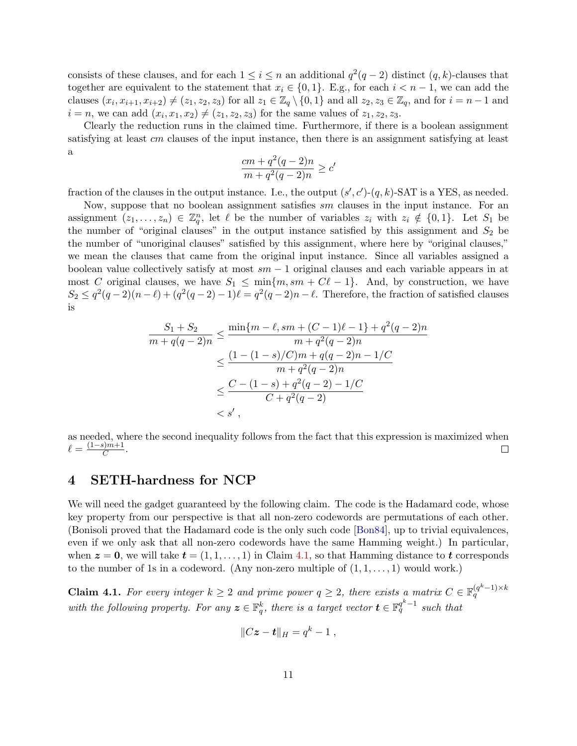<span id="page-12-2"></span>consists of these clauses, and for each  $1 \leq i \leq n$  an additional  $q^2(q-2)$  distinct  $(q, k)$ -clauses that together are equivalent to the statement that  $x_i \in \{0, 1\}$ . E.g., for each  $i < n - 1$ , we can add the clauses  $(x_i, x_{i+1}, x_{i+2}) \neq (z_1, z_2, z_3)$  for all  $z_1 \in \mathbb{Z}_q \setminus \{0, 1\}$  and all  $z_2, z_3 \in \mathbb{Z}_q$ , and for  $i = n - 1$  and  $i = n$ , we can add  $(x_i, x_1, x_2) \neq (z_1, z_2, z_3)$  for the same values of  $z_1, z_2, z_3$ .

Clearly the reduction runs in the claimed time. Furthermore, if there is a boolean assignment satisfying at least cm clauses of the input instance, then there is an assignment satisfying at least a

$$
\frac{cm + q^2(q-2)n}{m + q^2(q-2)n} \ge c'
$$

fraction of the clauses in the output instance. I.e., the output  $(s', c')$ - $(q, k)$ -SAT is a YES, as needed.

Now, suppose that no boolean assignment satisfies sm clauses in the input instance. For an assignment  $(z_1, \ldots, z_n) \in \mathbb{Z}_q^n$ , let  $\ell$  be the number of variables  $z_i$  with  $z_i \notin \{0,1\}$ . Let  $S_1$  be the number of "original clauses" in the output instance satisfied by this assignment and  $S_2$  be the number of "unoriginal clauses" satisfied by this assignment, where here by "original clauses," we mean the clauses that came from the original input instance. Since all variables assigned a boolean value collectively satisfy at most  $sm - 1$  original clauses and each variable appears in at most C original clauses, we have  $S_1 \leq \min\{m, sm + C\ell - 1\}$ . And, by construction, we have  $S_2 \leq q^2(q-2)(n-\ell) + (q^2(q-2)-1)\ell = q^2(q-2)n - \ell$ . Therefore, the fraction of satisfied clauses is

$$
\frac{S_1 + S_2}{m + q(q - 2)n} \le \frac{\min\{m - \ell, sm + (C - 1)\ell - 1\} + q^2(q - 2)n}{m + q^2(q - 2)n}
$$

$$
\le \frac{(1 - (1 - s)/C)m + q(q - 2)n - 1/C}{m + q^2(q - 2)n}
$$

$$
\le \frac{C - (1 - s) + q^2(q - 2) - 1/C}{C + q^2(q - 2)}
$$

$$
< s',
$$

as needed, where the second inequality follows from the fact that this expression is maximized when  $\ell = \frac{(1-s)m+1}{C}$  $\frac{sym+1}{C}$ .  $\Box$ 

# <span id="page-12-0"></span>4 SETH-hardness for NCP

We will need the gadget guaranteed by the following claim. The code is the Hadamard code, whose key property from our perspective is that all non-zero codewords are permutations of each other. (Bonisoli proved that the Hadamard code is the only such code [\[Bon84\]](#page-26-15), up to trivial equivalences, even if we only ask that all non-zero codewords have the same Hamming weight.) In particular, when  $z = 0$ , we will take  $t = (1, 1, \ldots, 1)$  in Claim [4.1,](#page-12-1) so that Hamming distance to t corresponds to the number of 1s in a codeword. (Any non-zero multiple of  $(1, 1, \ldots, 1)$  would work.)

<span id="page-12-1"></span>**Claim 4.1.** For every integer  $k \geq 2$  and prime power  $q \geq 2$ , there exists a matrix  $C \in \mathbb{F}_q^{(q^k-1)\times k}$ with the following property. For any  $\boldsymbol{z} \in \mathbb{F}_q^k$ , there is a target vector  $\boldsymbol{t} \in \mathbb{F}_q^{q^k-1}$  such that

$$
||C\boldsymbol{z}-\boldsymbol{t}||_H=q^k-1,
$$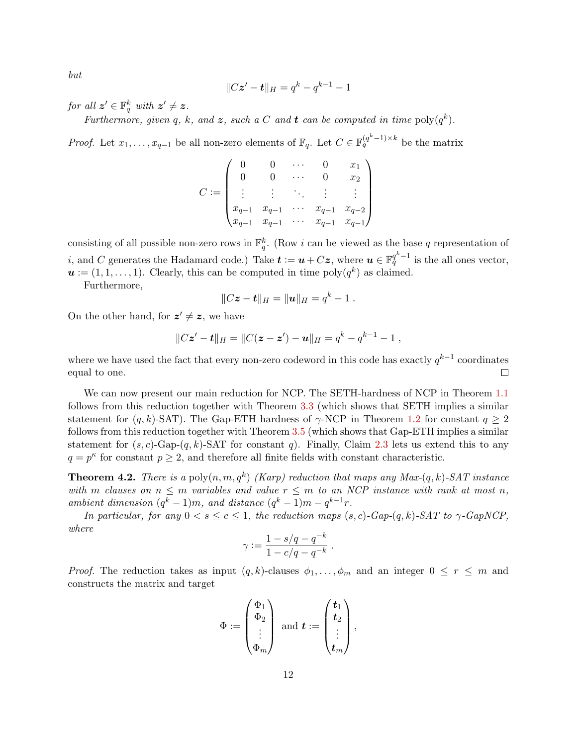but

$$
||Cz'-t||_H = q^k - q^{k-1} - 1
$$

for all  $z' \in \mathbb{F}_q^k$  with  $z' \neq z$ .

Furthermore, given q, k, and z, such a C and t can be computed in time  $\text{poly}(q^k)$ .

*Proof.* Let  $x_1, \ldots, x_{q-1}$  be all non-zero elements of  $\mathbb{F}_q$ . Let  $C \in \mathbb{F}_q^{(q^k-1)\times k}$  be the matrix

$$
C := \begin{pmatrix} 0 & 0 & \cdots & 0 & x_1 \\ 0 & 0 & \cdots & 0 & x_2 \\ \vdots & \vdots & \ddots & \vdots & \vdots \\ x_{q-1} & x_{q-1} & \cdots & x_{q-1} & x_{q-2} \\ x_{q-1} & x_{q-1} & \cdots & x_{q-1} & x_{q-1} \end{pmatrix}
$$

consisting of all possible non-zero rows in  $\mathbb{F}_q^k$ . (Row i can be viewed as the base q representation of *i*, and C generates the Hadamard code.) Take  $t := u + Cz$ , where  $u \in \mathbb{F}_q^{q^k-1}$  is the all ones vector,  $u := (1, 1, \ldots, 1)$ . Clearly, this can be computed in time poly $(q^k)$  as claimed.

Furthermore,

$$
||Cz-t||_H=||u||_H=q^k-1.
$$

On the other hand, for  $z' \neq z$ , we have

$$
||Cz'-t||_H=||C(z-z')-u||_H=q^k-q^{k-1}-1,
$$

where we have used the fact that every non-zero codeword in this code has exactly  $q^{k-1}$  coordinates equal to one.  $\Box$ 

We can now present our main reduction for NCP. The SETH-hardness of NCP in Theorem [1.1](#page-2-1) follows from this reduction together with Theorem [3.3](#page-10-0) (which shows that SETH implies a similar statement for  $(q, k)$ -SAT). The Gap-ETH hardness of  $\gamma$ -NCP in Theorem [1.2](#page-3-1) for constant  $q \geq 2$ follows from this reduction together with Theorem [3.5](#page-11-1) (which shows that Gap-ETH implies a similar statement for  $(s, c)$ -Gap- $(q, k)$ -SAT for constant q). Finally, Claim [2.3](#page-7-0) lets us extend this to any  $q = p^{\kappa}$  for constant  $p \geq 2$ , and therefore all finite fields with constant characteristic.

<span id="page-13-0"></span>**Theorem 4.2.** There is a poly $(n, m, q^k)$  (Karp) reduction that maps any Max- $(q, k)$ -SAT instance with m clauses on  $n \leq m$  variables and value  $r \leq m$  to an NCP instance with rank at most n, ambient dimension  $(q^k - 1)m$ , and distance  $(q^k - 1)m - q^{k-1}r$ .

In particular, for any  $0 < s \le c \le 1$ , the reduction maps  $(s, c)$ -Gap- $(q, k)$ -SAT to  $\gamma$ -GapNCP, where

$$
\gamma := \frac{1 - s/q - q^{-k}}{1 - c/q - q^{-k}} \ .
$$

*Proof.* The reduction takes as input  $(q, k)$ -clauses  $\phi_1, \ldots, \phi_m$  and an integer  $0 \leq r \leq m$  and constructs the matrix and target

$$
\Phi \coloneqq \begin{pmatrix} \Phi_1 \\ \Phi_2 \\ \vdots \\ \Phi_m \end{pmatrix} \text{ and } \boldsymbol{t} \coloneqq \begin{pmatrix} \boldsymbol{t}_1 \\ \boldsymbol{t}_2 \\ \vdots \\ \boldsymbol{t}_m \end{pmatrix},
$$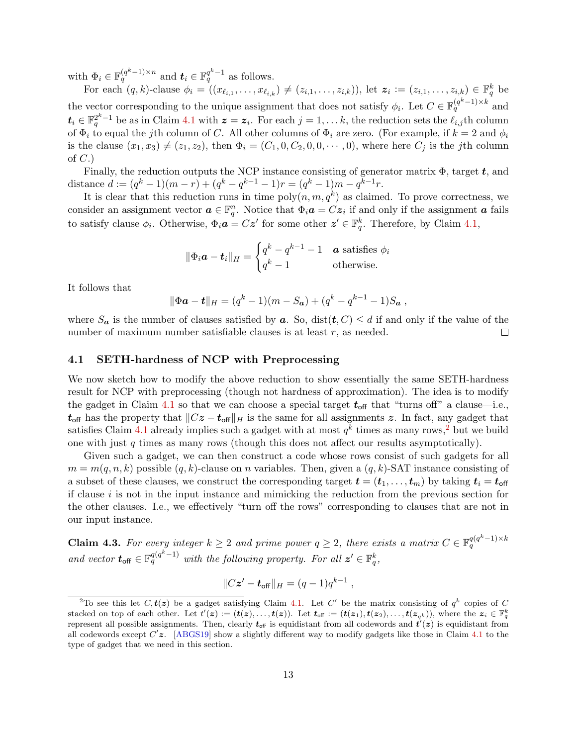<span id="page-14-3"></span>with  $\Phi_i \in \mathbb{F}_q^{(q^k-1)\times n}$  and  $t_i \in \mathbb{F}_q^{q^k-1}$  as follows.

For each  $(q, k)$ -clause  $\phi_i = ((x_{\ell_{i,1}}, \ldots, x_{\ell_{i,k}}) \neq (z_{i,1}, \ldots, z_{i,k}))$ , let  $\mathbf{z}_i := (z_{i,1}, \ldots, z_{i,k}) \in \mathbb{F}_q^k$  be the vector corresponding to the unique assignment that does not satisfy  $\phi_i$ . Let  $C \in \mathbb{F}_q^{(q^k-1)\times k}$  and  $t_i \in \mathbb{F}_q^{2^k-1}$  be as in Claim [4.1](#page-12-1) with  $\boldsymbol{z} = \boldsymbol{z}_i$ . For each  $j = 1, \ldots k$ , the reduction sets the  $\ell_{i,j}$ th column of  $\Phi_i$  to equal the jth column of C. All other columns of  $\Phi_i$  are zero. (For example, if  $k = 2$  and  $\phi_i$ is the clause  $(x_1, x_3) \neq (z_1, z_2)$ , then  $\Phi_i = (C_1, 0, C_2, 0, 0, \dots, 0)$ , where here  $C_j$  is the jth column of  $C.$ 

Finally, the reduction outputs the NCP instance consisting of generator matrix  $\Phi$ , target t, and distance  $d := (q^k - 1)(m - r) + (q^k - q^{k-1} - 1)r = (q^k - 1)m - q^{k-1}r$ .

It is clear that this reduction runs in time  $\text{poly}(n, m, q^k)$  as claimed. To prove correctness, we consider an assignment vector  $a \in \mathbb{F}_q^n$ . Notice that  $\Phi_i a = Cz_i$  if and only if the assignment a fails to satisfy clause  $\phi_i$ . Otherwise,  $\Phi_i \mathbf{a} = C \mathbf{z}'$  for some other  $\mathbf{z}' \in \mathbb{F}_q^k$ . Therefore, by Claim [4.1,](#page-12-1)

$$
\|\Phi_i \mathbf{a} - \mathbf{t}_i\|_{H} = \begin{cases} q^k - q^{k-1} - 1 & \text{a satisfies } \phi_i \\ q^k - 1 & \text{otherwise.} \end{cases}
$$

It follows that

$$
\|\Phi \mathbf{a} - \mathbf{t}\|_{H} = (q^{k} - 1)(m - S_{\mathbf{a}}) + (q^{k} - q^{k-1} - 1)S_{\mathbf{a}},
$$

where  $S_a$  is the number of clauses satisfied by  $a$ . So, dist $(t, C) \le d$  if and only if the value of the number of maximum number satisfiable clauses is at least r, as needed.  $\Box$ 

## <span id="page-14-0"></span>4.1 SETH-hardness of NCP with Preprocessing

We now sketch how to modify the above reduction to show essentially the same SETH-hardness result for NCP with preprocessing (though not hardness of approximation). The idea is to modify the gadget in Claim [4.1](#page-12-1) so that we can choose a special target  $t_{off}$  that "turns off" a clause—i.e.,  $t_{\text{off}}$  has the property that  $||Cz - t_{\text{off}}||_H$  is the same for all assignments z. In fact, any gadget that satisfies Claim [4.1](#page-12-1) already implies such a gadget with at most  $q^k$  times as many rows,<sup>[2](#page-14-1)</sup> but we build one with just  $q$  times as many rows (though this does not affect our results asymptotically).

Given such a gadget, we can then construct a code whose rows consist of such gadgets for all  $m = m(q, n, k)$  possible  $(q, k)$ -clause on n variables. Then, given a  $(q, k)$ -SAT instance consisting of a subset of these clauses, we construct the corresponding target  $\mathbf{t} = (\mathbf{t}_1, \dots, \mathbf{t}_m)$  by taking  $\mathbf{t}_i = \mathbf{t}_{off}$ if clause  $i$  is not in the input instance and mimicking the reduction from the previous section for the other clauses. I.e., we effectively "turn off the rows" corresponding to clauses that are not in our input instance.

<span id="page-14-2"></span>**Claim 4.3.** For every integer  $k \geq 2$  and prime power  $q \geq 2$ , there exists a matrix  $C \in \mathbb{F}_q^{q(q^k-1)\times k}$ and vector  $t_{\text{off}} \in \mathbb{F}_q^{q(q^k-1)}$  with the following property. For all  $z' \in \mathbb{F}_q^k$ ,

$$
||Cz' - t_{off}||_H = (q-1)q^{k-1},
$$

<span id="page-14-1"></span><sup>&</sup>lt;sup>2</sup>To see this let  $C, t(z)$  be a gadget satisfying Claim [4.1.](#page-12-1) Let C' be the matrix consisting of  $q^k$  copies of C stacked on top of each other. Let  $t'(z) := (t(z), \ldots, t(z))$ . Let  $t_{\text{off}} := (t(z_1), t(z_2), \ldots, t(z_{q^k}))$ , where the  $z_i \in \mathbb{F}_q^k$ represent all possible assignments. Then, clearly  $t_{\text{off}}$  is equidistant from all codewords and  $t'(z)$  is equidistant from all codewords except  $C'z$ . [\[ABGS19\]](#page-25-0) show a slightly different way to modify gadgets like those in Claim [4.1](#page-12-1) to the type of gadget that we need in this section.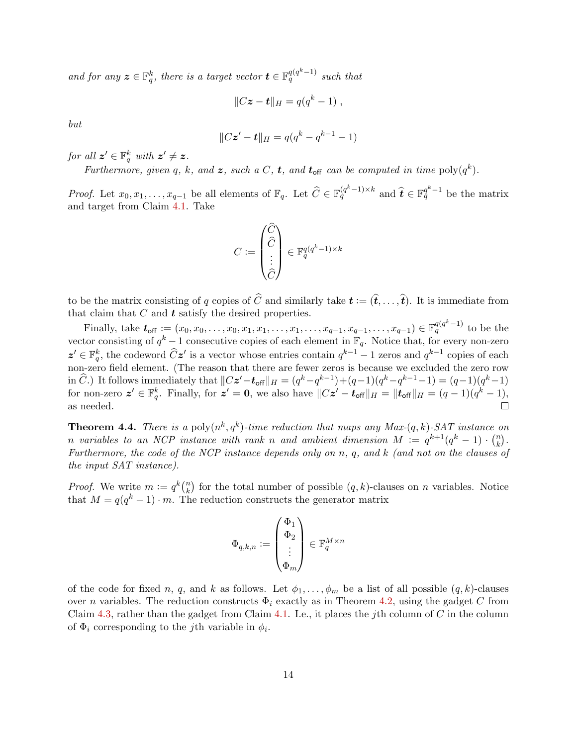and for any  $\boldsymbol{z} \in \mathbb{F}_q^k$ , there is a target vector  $\boldsymbol{t} \in \mathbb{F}_q^{q(q^k-1)}$  such that

$$
||C\boldsymbol{z}-\boldsymbol{t}||_H=q(q^k-1),
$$

but

$$
||Cz'-t||_H = q(q^k - q^{k-1} - 1)
$$

for all  $z' \in \mathbb{F}_q^k$  with  $z' \neq z$ .

Furthermore, given q, k, and z, such a C, t, and  $t_{\text{off}}$  can be computed in time  $\text{poly}(q^k)$ .

*Proof.* Let  $x_0, x_1, \ldots, x_{q-1}$  be all elements of  $\mathbb{F}_q$ . Let  $\widehat{C} \in \mathbb{F}_q^{(q^k-1)\times k}$  and  $\widehat{t} \in \mathbb{F}_q^{q^k-1}$  be the matrix and target from Claim [4.1.](#page-12-1) Take

$$
C := \begin{pmatrix} \widehat{C} \\ \widehat{C} \\ \vdots \\ \widehat{C} \end{pmatrix} \in \mathbb{F}_q^{q(q^k - 1) \times k}
$$

to be the matrix consisting of q copies of  $\widehat{C}$  and similarly take  $\boldsymbol{t} := (\widehat{\boldsymbol{t}}, \dots, \widehat{\boldsymbol{t}})$ . It is immediate from that claim that  $C$  and  $t$  satisfy the desired properties.

Finally, take  $t_{\text{off}} := (x_0, x_0, \ldots, x_0, x_1, x_1, \ldots, x_1, \ldots, x_{q-1}, x_{q-1}, \ldots, x_{q-1}) \in \mathbb{F}_q^{q(q^k-1)}$  to be the vector consisting of  $q^k-1$  consecutive copies of each element in  $\mathbb{F}_q$ . Notice that, for every non-zero  $z' \in \mathbb{F}_q^k$ , the codeword  $\widehat{C}z'$  is a vector whose entries contain  $q^{k-1} - 1$  zeros and  $q^{k-1}$  copies of each non-zero field element. (The reason that there are fewer zeros is because we excluded the zero row in  $\widehat{C}$ .) It follows immediately that  $||Cz'-t_{off}||_H = (q^k - q^{k-1}) + (q-1)(q^k - q^{k-1} - 1) = (q-1)(q^k - 1)$ for non-zero  $\boldsymbol{z}' \in \mathbb{F}_q^k$ . Finally, for  $\boldsymbol{z}' = \boldsymbol{0}$ , we also have  $||C\boldsymbol{z}' - \boldsymbol{t}_{\text{off}}||_H = ||\boldsymbol{t}_{\text{off}}||_H = (q-1)(q^k-1)$ , as needed.  $\Box$ 

**Theorem 4.4.** There is a poly $(n^k, q^k)$ -time reduction that maps any Max- $(q, k)$ -SAT instance on n variables to an NCP instance with rank n and ambient dimension  $M := q^{k+1}(q^k - 1) \cdot {n \choose k}$  $\binom{n}{k}$ . Furthermore, the code of the NCP instance depends only on n, q, and k (and not on the clauses of the input SAT instance).

*Proof.* We write  $m := q^k {n \choose k}$  $\binom{n}{k}$  for the total number of possible  $(q, k)$ -clauses on n variables. Notice that  $M = q(q^k - 1) \cdot m$ . The reduction constructs the generator matrix

$$
\Phi_{q,k,n}:=\left(\begin{matrix} \Phi_1\\ \Phi_2\\ \vdots\\ \Phi_m \end{matrix}\right)\in\mathbb{F}_q^{M\times n}
$$

of the code for fixed n, q, and k as follows. Let  $\phi_1, \ldots, \phi_m$  be a list of all possible  $(q, k)$ -clauses over n variables. The reduction constructs  $\Phi_i$  exactly as in Theorem [4.2,](#page-13-0) using the gadget C from Claim [4.3,](#page-14-2) rather than the gadget from Claim [4.1.](#page-12-1) I.e., it places the jth column of  $C$  in the column of  $\Phi_i$  corresponding to the *j*th variable in  $\phi_i$ .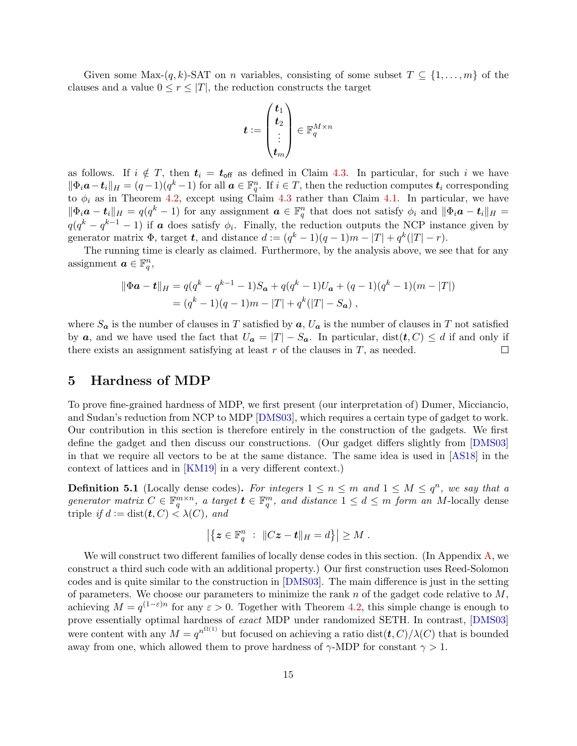<span id="page-16-1"></span>Given some Max- $(q, k)$ -SAT on *n* variables, consisting of some subset  $T \subseteq \{1, \ldots, m\}$  of the clauses and a value  $0 \leq r \leq |T|$ , the reduction constructs the target

$$
\boldsymbol{t}:=\begin{pmatrix}\boldsymbol{t}_1\\\boldsymbol{t}_2\\\vdots\\\boldsymbol{t}_m\end{pmatrix}\in\mathbb{F}_q^{M\times n}
$$

as follows. If  $i \notin T$ , then  $t_i = t_{off}$  as defined in Claim [4.3.](#page-14-2) In particular, for such i we have  $\|\Phi_i \mathbf{a} - \mathbf{t}_i\|_H = (q-1)(q^k-1)$  for all  $\mathbf{a} \in \mathbb{F}_q^n$ . If  $i \in T$ , then the reduction computes  $\mathbf{t}_i$  corresponding to  $\phi_i$  as in Theorem [4.2,](#page-13-0) except using Claim [4.3](#page-14-2) rather than Claim [4.1.](#page-12-1) In particular, we have  $\|\Phi_i \mathbf{a} - \mathbf{t}_i\|_{H} = q(q^k - 1)$  for any assignment  $\mathbf{a} \in \mathbb{F}_q^n$  that does not satisfy  $\phi_i$  and  $\|\Phi_i \mathbf{a} - \mathbf{t}_i\|_{H} =$  $q(q^k - q^{k-1} - 1)$  if **a** does satisfy  $\phi_i$ . Finally, the reduction outputs the NCP instance given by generator matrix  $\Phi$ , target t, and distance  $d := (q^k - 1)(q - 1)m - |T| + q^k(|T| - r)$ .

The running time is clearly as claimed. Furthermore, by the analysis above, we see that for any assignment  $a \in \mathbb{F}_q^n$ ,

$$
\|\Phi \mathbf{a} - \mathbf{t}\|_{H} = q(q^{k} - q^{k-1} - 1)S_{\mathbf{a}} + q(q^{k} - 1)U_{\mathbf{a}} + (q - 1)(q^{k} - 1)(m - |T|)
$$
  
=  $(q^{k} - 1)(q - 1)m - |T| + q^{k}(|T| - S_{\mathbf{a}})$ ,

where  $S_a$  is the number of clauses in T satisfied by  $a, U_a$  is the number of clauses in T not satisfied by a, and we have used the fact that  $U_a = |T| - S_a$ . In particular,  $dist(t, C) \le d$  if and only if there exists an assignment satisfying at least  $r$  of the clauses in  $T$ , as needed.  $\Box$ 

## <span id="page-16-0"></span>5 Hardness of MDP

To prove fine-grained hardness of MDP, we first present (our interpretation of) Dumer, Micciancio, and Sudan's reduction from NCP to MDP [\[DMS03\]](#page-26-9), which requires a certain type of gadget to work. Our contribution in this section is therefore entirely in the construction of the gadgets. We first define the gadget and then discuss our constructions. (Our gadget differs slightly from [\[DMS03\]](#page-26-9) in that we require all vectors to be at the same distance. The same idea is used in [\[AS18\]](#page-26-8) in the context of lattices and in [\[KM19\]](#page-27-8) in a very different context.)

**Definition 5.1** (Locally dense codes). For integers  $1 \le n \le m$  and  $1 \le M \le q^n$ , we say that a generator matrix  $C \in \mathbb{F}_q^{m \times n}$ , a target  $\mathbf{t} \in \mathbb{F}_q^m$ , and distance  $1 \leq d \leq m$  form an M-locally dense triple if  $d := dist(t, C) < \lambda(C)$ , and

$$
\left|\left\{ \boldsymbol{z} \in \mathbb{F}_q^n \; : \; \|C\boldsymbol{z} - \boldsymbol{t}\|_{H} = d \right\} \right| \geq M \; .
$$

We will construct two different families of locally dense codes in this section. (In Appendix [A,](#page-27-0) we construct a third such code with an additional property.) Our first construction uses Reed-Solomon codes and is quite similar to the construction in [\[DMS03\]](#page-26-9). The main difference is just in the setting of parameters. We choose our parameters to minimize the rank  $n$  of the gadget code relative to  $M$ , achieving  $M = q^{(1-\varepsilon)n}$  for any  $\varepsilon > 0$ . Together with Theorem [4.2,](#page-13-0) this simple change is enough to prove essentially optimal hardness of exact MDP under randomized SETH. In contrast, [\[DMS03\]](#page-26-9) were content with any  $M = q^{n^{\Omega(1)}}$  but focused on achieving a ratio dist $(\mathbf{t}, C)/\lambda(C)$  that is bounded away from one, which allowed them to prove hardness of  $\gamma$ -MDP for constant  $\gamma > 1$ .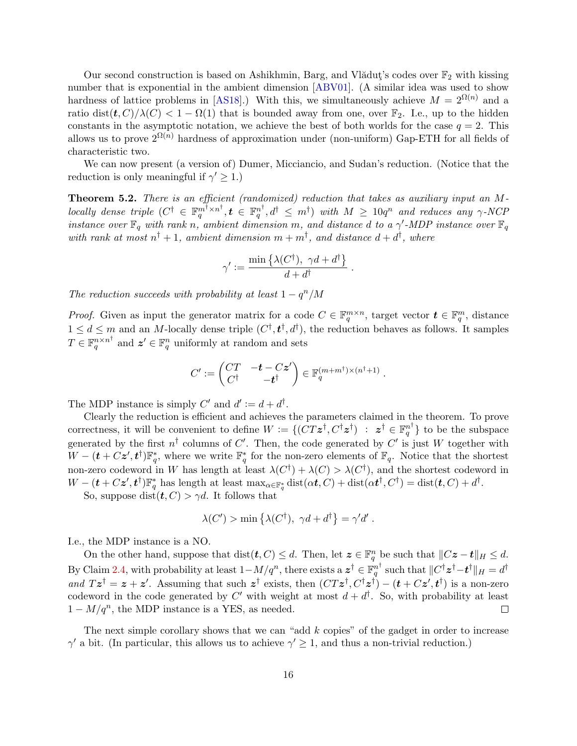<span id="page-17-1"></span>Our second construction is based on Ashikhmin, Barg, and Vlădut $\check{\phantom{a}}$ 's codes over  $\mathbb{F}_2$  with kissing number that is exponential in the ambient dimension [\[ABV01\]](#page-25-4). (A similar idea was used to show hardness of lattice problems in [\[AS18\]](#page-26-8).) With this, we simultaneously achieve  $M = 2^{\Omega(n)}$  and a ratio dist $(t, C)/\lambda(C) < 1 - \Omega(1)$  that is bounded away from one, over  $\mathbb{F}_2$ . I.e., up to the hidden constants in the asymptotic notation, we achieve the best of both worlds for the case  $q = 2$ . This allows us to prove  $2^{\Omega(n)}$  hardness of approximation under (non-uniform) Gap-ETH for all fields of characteristic two.

We can now present (a version of) Dumer, Micciancio, and Sudan's reduction. (Notice that the reduction is only meaningful if  $\gamma' \geq 1$ .)

<span id="page-17-0"></span>Theorem 5.2. There is an efficient (randomized) reduction that takes as auxiliary input an M- $\emph{locally dense triple} \hspace{1mm} (C^\dagger \in \mathbb{F}_q^{m^\dagger \times n^\dagger}, \bm{t} \in \mathbb{F}_q^{n^\dagger}, d^\dagger \leq \emph{m}^\dagger) \hspace{1mm} \emph{with} \hspace{1mm} M \geq 10q^n \hspace{1mm} \emph{and reduces any} \hspace{1mm} \gamma\text{-}NCP$ instance over  $\mathbb{F}_q$  with rank n, ambient dimension m, and distance d to a  $\gamma'$ -MDP instance over  $\mathbb{F}_q$ with rank at most  $n^{\dagger}+1$ , ambient dimension  $m+m^{\dagger}$ , and distance  $d+d^{\dagger}$ , where

$$
\gamma' := \frac{\min\left\{\lambda(C^{\dagger}), \ \gamma d + d^{\dagger}\right\}}{d + d^{\dagger}}.
$$

The reduction succeeds with probability at least  $1 - q^n/M$ 

*Proof.* Given as input the generator matrix for a code  $C \in \mathbb{F}_q^{m \times n}$ , target vector  $\mathbf{t} \in \mathbb{F}_q^m$ , distance  $1 \leq d \leq m$  and an M-locally dense triple  $(C^{\dagger}, t^{\dagger}, d^{\dagger})$ , the reduction behaves as follows. It samples  $T \in \mathbb{F}_q^{n \times n^{\dagger}}$  and  $\boldsymbol{z}' \in \mathbb{F}_q^n$  uniformly at random and sets

$$
C' := \begin{pmatrix} CT & -t - Cz' \\ C^{\dagger} & -t^{\dagger} \end{pmatrix} \in \mathbb{F}_q^{(m+m^{\dagger}) \times (n^{\dagger}+1)}.
$$

The MDP instance is simply C' and  $d' := d + d^{\dagger}$ .

Clearly the reduction is efficient and achieves the parameters claimed in the theorem. To prove correctness, it will be convenient to define  $W := \{(\overline{CT}z^{\dagger}, C^{\dagger}z^{\dagger}) : z^{\dagger} \in \mathbb{F}_q^{n^{\dagger}}\}\$ to be the subspace generated by the first  $n^{\dagger}$  columns of C'. Then, the code generated by C' is just W together with  $W-(t+Cz',t^{\dagger})\mathbb{F}_{q}^{*}$ , where we write  $\mathbb{F}_{q}^{*}$  for the non-zero elements of  $\mathbb{F}_{q}$ . Notice that the shortest non-zero codeword in W has length at least  $\lambda(C^{\dagger}) + \lambda(C) > \lambda(C^{\dagger})$ , and the shortest codeword in  $W - (\boldsymbol{t} + C\boldsymbol{z}', \boldsymbol{t}^{\dagger}) \mathbb{F}_{q}^{*}$  has length at least  $\max_{\alpha \in \mathbb{F}_{q}^{*}} \text{dist}(\alpha \boldsymbol{t}, C) + \text{dist}(\alpha \boldsymbol{t}^{\dagger}, C^{\dagger}) = \text{dist}(\boldsymbol{t}, C) + d^{\dagger}$ .

So, suppose dist $(t, C) > \gamma d$ . It follows that

$$
\lambda(C') > \min \left\{ \lambda(C^{\dagger}), \ \gamma d + d^{\dagger} \right\} = \gamma' d'.
$$

I.e., the MDP instance is a NO.

On the other hand, suppose that  $dist(t, C) \leq d$ . Then, let  $\boldsymbol{z} \in \mathbb{F}_q^n$  be such that  $||C\boldsymbol{z} - \boldsymbol{t}||_H \leq d$ . By Claim [2.4,](#page-7-1) with probability at least  $1 - M/q^n$ , there exists a  $\boldsymbol{z}^\dagger \in \mathbb{F}_q^{n^\dagger}$  such that  $\|C^\dagger \boldsymbol{z}^\dagger - \boldsymbol{t}^\dagger\|_H = d^\dagger$ and  $Tz^{\dagger} = z + z'$ . Assuming that such  $z^{\dagger}$  exists, then  $(CTz^{\dagger}, C^{\dagger}z^{\dagger}) - (\boldsymbol{t} + Cz', \boldsymbol{t}^{\dagger})$  is a non-zero codeword in the code generated by C' with weight at most  $d + d^{\dagger}$ . So, with probability at least  $1 - M/q^n$ , the MDP instance is a YES, as needed.  $\Box$ 

The next simple corollary shows that we can "add  $k$  copies" of the gadget in order to increase  $\gamma'$  a bit. (In particular, this allows us to achieve  $\gamma' \geq 1$ , and thus a non-trivial reduction.)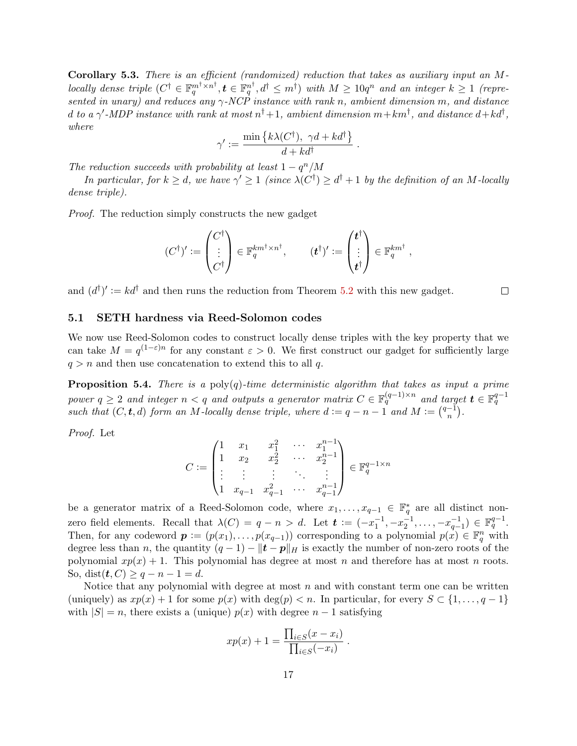<span id="page-18-2"></span>Corollary 5.3. There is an efficient (randomized) reduction that takes as auxiliary input an Mlocally dense triple (C † ∈ F m†×n † q , t ∈ F n † q , d† ≤ m† ) with M ≥ 10q <sup>n</sup> and an integer k ≥ 1 (represented in unary) and reduces any  $\gamma$ -NCP instance with rank n, ambient dimension m, and distance d to a  $\gamma'$ -MDP instance with rank at most  $n^\dagger+1$ , ambient dimension  $m+km^\dagger$ , and distance  $d+kd^\dagger$ , where

$$
\gamma' := \frac{\min \left\{ k \lambda(C^{\dagger}), \ \gamma d + k d^{\dagger} \right\}}{d + k d^{\dagger}}.
$$

The reduction succeeds with probability at least  $1 - q^n/M$ 

In particular, for  $k \geq d$ , we have  $\gamma' \geq 1$  (since  $\lambda(C^{\dagger}) \geq d^{\dagger} + 1$  by the definition of an M-locally dense triple).

Proof. The reduction simply constructs the new gadget

$$
(C^{\dagger})' := \begin{pmatrix} C^{\dagger} \\ \vdots \\ C^{\dagger} \end{pmatrix} \in \mathbb{F}_q^{km^{\dagger} \times n^{\dagger}}, \qquad (t^{\dagger})' := \begin{pmatrix} t^{\dagger} \\ \vdots \\ t^{\dagger} \end{pmatrix} \in \mathbb{F}_q^{km^{\dagger}},
$$

and  $(d^{\dagger})' := kd^{\dagger}$  and then runs the reduction from Theorem [5.2](#page-17-0) with this new gadget.

 $\Box$ 

#### <span id="page-18-0"></span>5.1 SETH hardness via Reed-Solomon codes

We now use Reed-Solomon codes to construct locally dense triples with the key property that we can take  $M = q^{(1-\varepsilon)n}$  for any constant  $\varepsilon > 0$ . We first construct our gadget for sufficiently large  $q > n$  and then use concatenation to extend this to all q.

<span id="page-18-1"></span>**Proposition 5.4.** There is a  $poly(q)$ -time deterministic algorithm that takes as input a prime power  $q \geq 2$  and integer  $n < q$  and outputs a generator matrix  $C \in \mathbb{F}_q^{(q-1)\times n}$  and target  $\boldsymbol{t} \in \mathbb{F}_q^{q-1}$ such that  $(C, t, d)$  form an M-locally dense triple, where  $d := q - n - 1$  and  $M := \binom{q-1}{n}$  $\binom{-1}{n}$ .

Proof. Let

$$
C:=\begin{pmatrix} 1&x_1&x_1^2&\cdots&x_1^{n-1}\\ 1&x_2&x_2^2&\cdots&x_2^{n-1}\\ \vdots&\vdots&\vdots&\ddots&\vdots\\ 1&x_{q-1}&x_{q-1}^2&\cdots&x_{q-1}^{n-1}\end{pmatrix}\in\mathbb{F}_q^{q-1\times n}
$$

be a generator matrix of a Reed-Solomon code, where  $x_1, \ldots, x_{q-1} \in \mathbb{F}_q^*$  are all distinct nonzero field elements. Recall that  $\lambda(C) = q - n > d$ . Let  $\boldsymbol{t} := (-x_1^{-1}, -x_2^{-1}, \ldots, -x_{q-1}^{-1}) \in \mathbb{F}_q^{q-1}$ . Then, for any codeword  $\boldsymbol{p} := (p(x_1), \ldots, p(x_{q-1}))$  corresponding to a polynomial  $p(x) \in \mathbb{F}_q^n$  with degree less than n, the quantity  $(q - 1) - ||\boldsymbol{t} - \boldsymbol{p}||_H$  is exactly the number of non-zero roots of the polynomial  $xp(x) + 1$ . This polynomial has degree at most n and therefore has at most n roots. So, dist( $t, C$ )  $\geq q - n - 1 = d$ .

Notice that any polynomial with degree at most  $n$  and with constant term one can be written (uniquely) as  $xp(x) + 1$  for some  $p(x)$  with  $\deg(p) < n$ . In particular, for every  $S \subset \{1, \ldots, q-1\}$ with  $|S| = n$ , there exists a (unique)  $p(x)$  with degree  $n-1$  satisfying

$$
xp(x) + 1 = \frac{\prod_{i \in S}(x - x_i)}{\prod_{i \in S}(-x_i)}.
$$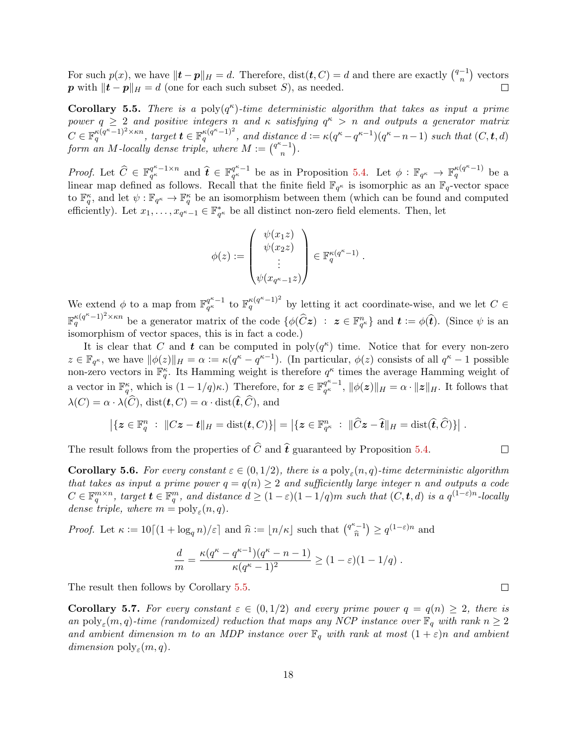For such  $p(x)$ , we have  $||\mathbf{t} - \mathbf{p}||_H = d$ . Therefore, dist $(\mathbf{t}, C) = d$  and there are exactly  $\binom{q-1}{n}$  $\binom{-1}{n}$  vectors p with  $\|\boldsymbol{t} - \boldsymbol{p}\|_{H} = d$  (one for each such subset S), as needed.

<span id="page-19-0"></span>**Corollary 5.5.** There is a poly $(q^{\kappa})$ -time deterministic algorithm that takes as input a prime power  $q \geq 2$  and positive integers n and  $\kappa$  satisfying  $q^{\kappa} > n$  and outputs a generator matrix  $C \in \mathbb{F}_q^{\kappa(q^{\kappa}-1)^2 \times \kappa n}$ , target  $\mathbf{t} \in \mathbb{F}_q^{\kappa(q^{\kappa}-1)^2}$ , and distance  $d := \kappa(q^{\kappa}-q^{\kappa-1})(q^{\kappa}-n-1)$  such that  $(C, \mathbf{t}, d)$ form an M-locally dense triple, where  $M := \binom{q^k-1}{n}$  $\binom{-1}{n}$ .

*Proof.* Let  $\widehat{C} \in \mathbb{F}_{q^{\kappa}}^{q^{\kappa}-1 \times n}$  $q^{\kappa-1\times n}_{q^{\kappa}}$  and  $\widehat{\boldsymbol{t}} \in \mathbb{F}_{q^{\kappa}}^{q^{\kappa}-1}$  $q^{\kappa-1}$  be as in Proposition [5.4.](#page-18-1) Let  $\phi: \mathbb{F}_{q^{\kappa}} \to \mathbb{F}_q^{\kappa(q^{\kappa}-1)}$  be a linear map defined as follows. Recall that the finite field  $\mathbb{F}_{q^{\kappa}}$  is isomorphic as an  $\mathbb{F}_q$ -vector space to  $\mathbb{F}_q^{\kappa}$ , and let  $\psi: \mathbb{F}_{q^{\kappa}} \to \mathbb{F}_q^{\kappa}$  be an isomorphism between them (which can be found and computed efficiently). Let  $x_1, \ldots, x_{q^{\kappa}-1} \in \mathbb{F}_{q^{\kappa}}^*$  be all distinct non-zero field elements. Then, let

$$
\phi(z):=\begin{pmatrix} \psi(x_1z)\\ \psi(x_2z)\\ \vdots\\ \psi(x_{q^{\kappa}-1}z)\end{pmatrix}\in \mathbb{F}_q^{\kappa(q^{\kappa}-1)}
$$

.

We extend  $\phi$  to a map from  $\mathbb{F}_{q^{\kappa}}^{q^{\kappa}-1}$  $q_{\kappa}^{\kappa-1}$  to  $\mathbb{F}_q^{\kappa(q^{\kappa}-1)^2}$  by letting it act coordinate-wise, and we let  $C \in$  $\mathbb{F}_q^{\kappa(q^{\kappa}-1)^2 \times \kappa n}$  be a generator matrix of the code  $\{\phi(\widehat{C}z) : z \in \mathbb{F}_{q^{\kappa}}^n\}$  and  $t := \phi(\widehat{t})$ . (Since  $\psi$  is an isomorphism of vector spaces, this is in fact a code.)

It is clear that C and t can be computed in  $\text{poly}(q^{\kappa})$  time. Notice that for every non-zero  $z \in \mathbb{F}_{q^{\kappa}}$ , we have  $\|\phi(z)\|_{H} = \alpha := \kappa(q^{\kappa} - q^{\kappa-1})$ . (In particular,  $\phi(z)$  consists of all  $q^{\kappa} - 1$  possible non-zero vectors in  $\mathbb{F}_q^{\kappa}$ . Its Hamming weight is therefore  $q^{\kappa}$  times the average Hamming weight of a vector in  $\mathbb{F}_q^{\kappa}$ , which is  $(1-1/q)\kappa$ .) Therefore, for  $\mathbf{z} \in \mathbb{F}_{q^{\kappa}}^{q^{\kappa}-1}$  $q_{\alpha}^{q^{\alpha}-1}, \|\phi(z)\|_{H} = \alpha \cdot \|z\|_{H}.$  It follows that  $\lambda(C) = \alpha \cdot \lambda(\widehat{C}), \text{dist}(\boldsymbol{t}, C) = \alpha \cdot \text{dist}(\widehat{\boldsymbol{t}}, \widehat{C}), \text{ and}$ 

$$
\left|\left\{z\in\mathbb{F}_q^n\;:\;\|Cz-t\|_H=\text{dist}(t,C)\right\}\right|=\left|\left\{z\in\mathbb{F}_{q^{\kappa}}^n\;:\;\|\widehat{C}z-\widehat{t}\|_H=\text{dist}(\widehat{t},\widehat{C})\right\}\right|.
$$

The result follows from the properties of  $\hat{C}$  and  $\hat{\boldsymbol{t}}$  guaranteed by Proposition [5.4.](#page-18-1)

<span id="page-19-1"></span>**Corollary 5.6.** For every constant  $\varepsilon \in (0,1/2)$ , there is a poly<sub> $\varepsilon$ </sub> $(n,q)$ -time deterministic algorithm that takes as input a prime power  $q = q(n) \geq 2$  and sufficiently large integer n and outputs a code  $C \in \mathbb{F}_q^{m \times n}$ , target  $\boldsymbol{t} \in \mathbb{F}_q^m$ , and distance  $d \geq (1-\varepsilon)(1-1/q)m$  such that  $(C, \boldsymbol{t}, d)$  is a  $q^{(1-\varepsilon)n}$ -locally dense triple, where  $m = \text{poly}_{\varepsilon}(n, q)$ .

*Proof.* Let  $\kappa := 10[(1 + \log_q n)/\varepsilon]$  and  $\hat{n} := \lfloor n/\kappa \rfloor$  such that  $\binom{q^{\kappa}-1}{\hat{n}}$  $\left(\widehat{n}^{-1}\right) \geq q^{(1-\varepsilon)n}$  and

$$
\frac{d}{m} = \frac{\kappa(q^{\kappa} - q^{\kappa - 1})(q^{\kappa} - n - 1)}{\kappa(q^{\kappa} - 1)^2} \ge (1 - \varepsilon)(1 - 1/q) .
$$

The result then follows by Corollary [5.5.](#page-19-0)

<span id="page-19-2"></span>Corollary 5.7. For every constant  $\varepsilon \in (0,1/2)$  and every prime power  $q = q(n) \geq 2$ , there is an poly<sub>ε</sub> $(m, q)$ -time (randomized) reduction that maps any NCP instance over  $\mathbb{F}_q$  with rank  $n \geq 2$ and ambient dimension m to an MDP instance over  $\mathbb{F}_q$  with rank at most  $(1+\varepsilon)n$  and ambient dimension  $\text{poly}_{\varepsilon}(m, q)$ .

 $\Box$ 

 $\Box$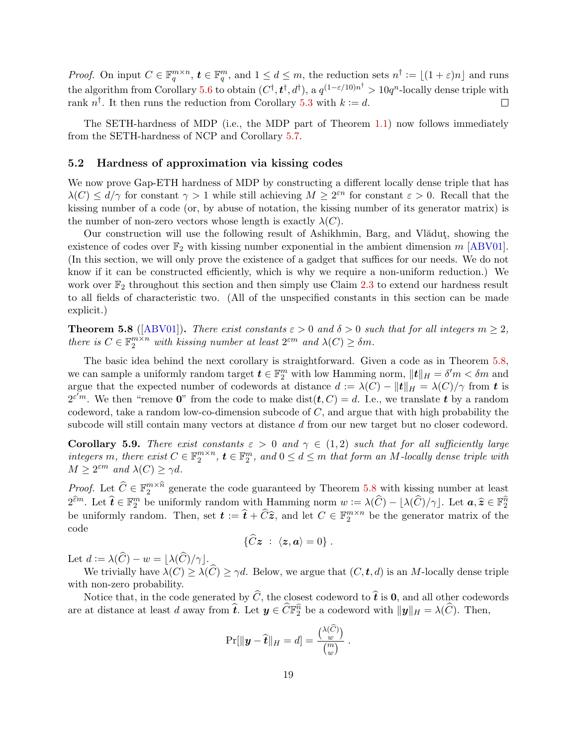<span id="page-20-3"></span>*Proof.* On input  $C \in \mathbb{F}_q^{m \times n}$ ,  $\boldsymbol{t} \in \mathbb{F}_q^m$ , and  $1 \leq d \leq m$ , the reduction sets  $n^{\dagger} := \lfloor (1+\varepsilon)n \rfloor$  and runs the algorithm from Corollary [5.6](#page-19-1) to obtain  $(C^{\dagger}, t^{\dagger}, d^{\dagger})$ , a  $q^{(1-\varepsilon/10)n^{\dagger}} > 10q^n$ -locally dense triple with rank  $n^{\dagger}$ . It then runs the reduction from Corollary [5.3](#page-18-2) with  $k := d$ .  $\Box$ 

The SETH-hardness of MDP (i.e., the MDP part of Theorem [1.1\)](#page-2-1) now follows immediately from the SETH-hardness of NCP and Corollary [5.7.](#page-19-2)

#### <span id="page-20-0"></span>5.2 Hardness of approximation via kissing codes

We now prove Gap-ETH hardness of MDP by constructing a different locally dense triple that has  $\lambda(C) \leq d/\gamma$  for constant  $\gamma > 1$  while still achieving  $M \geq 2^{\varepsilon n}$  for constant  $\varepsilon > 0$ . Recall that the kissing number of a code (or, by abuse of notation, the kissing number of its generator matrix) is the number of non-zero vectors whose length is exactly  $\lambda(C)$ .

Our construction will use the following result of Ashikhmin, Barg, and Vladut, showing the existence of codes over  $\mathbb{F}_2$  with kissing number exponential in the ambient dimension m [\[ABV01\]](#page-25-4). (In this section, we will only prove the existence of a gadget that suffices for our needs. We do not know if it can be constructed efficiently, which is why we require a non-uniform reduction.) We work over  $\mathbb{F}_2$  throughout this section and then simply use Claim [2.3](#page-7-0) to extend our hardness result to all fields of characteristic two. (All of the unspecified constants in this section can be made explicit.)

<span id="page-20-1"></span>**Theorem 5.8** ([\[ABV01\]](#page-25-4)). There exist constants  $\varepsilon > 0$  and  $\delta > 0$  such that for all integers  $m \geq 2$ , there is  $C \in \mathbb{F}_2^{m \times n}$  with kissing number at least  $2^{\varepsilon m}$  and  $\lambda(C) \geq \delta m$ .

The basic idea behind the next corollary is straightforward. Given a code as in Theorem [5.8,](#page-20-1) we can sample a uniformly random target  $\boldsymbol{t} \in \mathbb{F}_2^m$  with low Hamming norm,  $\|\boldsymbol{t}\|_H = \delta' m < \delta m$  and argue that the expected number of codewords at distance  $d := \lambda(C) - ||t||_H = \lambda(C)/\gamma$  from t is  $2^{\varepsilon m}$ . We then "remove 0" from the code to make dist $(\boldsymbol{t}, C) = d$ . I.e., we translate  $\boldsymbol{t}$  by a random codeword, take a random low-co-dimension subcode of  $C$ , and argue that with high probability the subcode will still contain many vectors at distance d from our new target but no closer codeword.

<span id="page-20-2"></span>Corollary 5.9. There exist constants  $\varepsilon > 0$  and  $\gamma \in (1,2)$  such that for all sufficiently large integers m, there exist  $C \in \mathbb{F}_2^{m \times n}$ ,  $\boldsymbol{t} \in \mathbb{F}_2^m$ , and  $0 \leq d \leq m$  that form an M-locally dense triple with  $M \geq 2^{\varepsilon m}$  and  $\lambda(C) \geq \gamma d$ .

*Proof.* Let  $\widehat{C} \in \mathbb{F}_2^{m \times \widehat{n}}$  generate the code guaranteed by Theorem [5.8](#page-20-1) with kissing number at least  $2^{\widehat{\epsilon}m}$ . Let  $\widehat{\boldsymbol{t}} \in \mathbb{F}_2^m$  be uniformly random with Hamming norm  $w := \lambda(\widehat{C}) - \lfloor \lambda(\widehat{C})/\gamma \rfloor$ . Let  $\boldsymbol{a}, \widehat{z} \in \mathbb{F}_2^{\widehat{n}}$ be uniformly random. Then, set  $\mathbf{t} := \hat{\mathbf{t}} + \hat{C}\hat{\mathbf{z}}$ , and let  $C \in \mathbb{F}_2^{m \times n}$  be the generator matrix of the code

$$
\{\widehat{C}\boldsymbol{z} \;:\; \langle \boldsymbol{z}, \boldsymbol{a} \rangle = 0\} \;.
$$

Let  $d := \lambda(\widehat{C}) - w = |\lambda(\widehat{C})/\gamma|.$ 

We trivially have  $\lambda(C) \geq \lambda(\widehat{C}) \geq \gamma d$ . Below, we argue that  $(C, t, d)$  is an M-locally dense triple with non-zero probability.

Notice that, in the code generated by  $\widehat{C}$ , the closest codeword to  $\widehat{\boldsymbol{t}}$  is 0, and all other codewords are at distance at least d away from  $\hat{\boldsymbol{t}}$ . Let  $\boldsymbol{y} \in \widehat{C} \mathbb{F}_2^{\widehat{n}}$  be a codeword with  $\|\boldsymbol{y}\|_H = \lambda(\widehat{C})$ . Then,

$$
\Pr[\|\mathbf{y}-\widehat{\mathbf{t}}\|_{H}=d]=\frac{\binom{\lambda(C)}{w}}{\binom{m}{w}}.
$$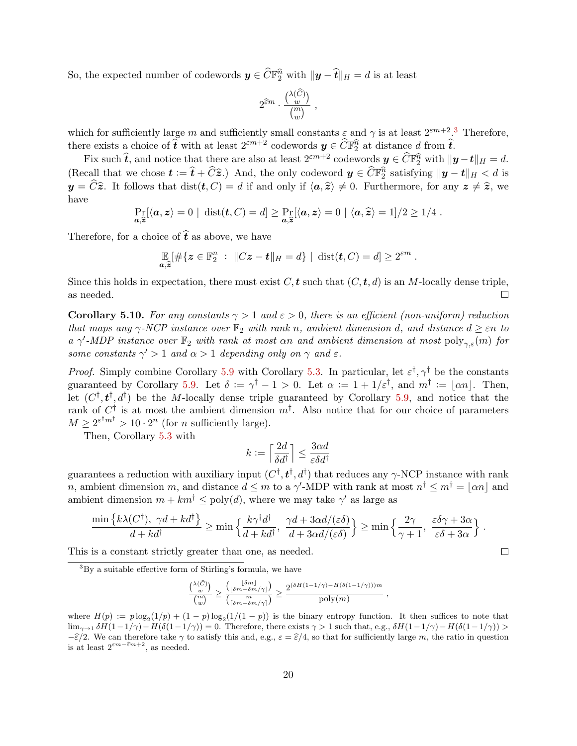So, the expected number of codewords  $y \in \widehat{C}\mathbb{F}_2^{\widehat{n}}$  with  $\|y - \widehat{t}\|_{H} = d$  is at least

$$
2^{\widehat{\varepsilon}m}\cdot\frac{\binom{\lambda(\widehat{C})}{w}}{\binom{m}{w}},
$$

which for sufficiently large m and sufficiently small constants  $\varepsilon$  and  $\gamma$  is at least  $2^{\varepsilon m+2}$ .<sup>[3](#page-21-0)</sup> Therefore, there exists a choice of  $\hat{\boldsymbol{t}}$  with at least  $2^{\varepsilon m+2}$  codewords  $\boldsymbol{y} \in \widehat{C}\mathbb{F}_2^{\widehat{n}}$  at distance d from  $\widehat{\boldsymbol{t}}$ .

Fix such  $\hat{\boldsymbol{t}}$ , and notice that there are also at least  $2^{\varepsilon m+2}$  codewords  $\boldsymbol{y} \in \widehat{C}\mathbb{F}_2^{\widehat{n}}$  with  $\|\boldsymbol{y}-\boldsymbol{t}\|_H = d$ . (Recall that we chose  $\mathbf{t} := \hat{\mathbf{t}} + \hat{C}\hat{\mathbf{z}}$ .) And, the only codeword  $\mathbf{y} \in \hat{C}\mathbb{F}_2^{\hat{n}}$  satisfying  $\|\mathbf{y} - \mathbf{t}\|_H < d$  is  $y = \widehat{C}\widehat{z}$ . It follows that  $dist(t, C) = d$  if and only if  $\langle a, \widehat{z} \rangle \neq 0$ . Furthermore, for any  $z \neq \widehat{z}$ , we have

$$
\Pr_{\mathbf{a},\widehat{\mathbf{z}}}[\langle \mathbf{a},\mathbf{z}\rangle=0 \mid \text{dist}(\mathbf{t},C)=d] \geq \Pr_{\mathbf{a},\widehat{\mathbf{z}}}[\langle \mathbf{a},\mathbf{z}\rangle=0 \mid \langle \mathbf{a},\widehat{\mathbf{z}}\rangle=1]/2 \geq 1/4.
$$

Therefore, for a choice of  $\hat{t}$  as above, we have

$$
\mathop{\mathbb{E}}_{a,\widehat{z}}[\#\{z\in\mathbb{F}_2^n : \|Cz-t\|_H=d\} \mid \text{dist}(\boldsymbol{t},C)=d] \geq 2^{\varepsilon m}.
$$

Since this holds in expectation, there must exist  $C, t$  such that  $(C, t, d)$  is an M-locally dense triple, as needed.  $\Box$ 

<span id="page-21-1"></span>**Corollary 5.10.** For any constants  $\gamma > 1$  and  $\varepsilon > 0$ , there is an efficient (non-uniform) reduction that maps any  $\gamma$ -NCP instance over  $\mathbb{F}_2$  with rank n, ambient dimension d, and distance  $d \geq \varepsilon n$  to a  $\gamma'$ -MDP instance over  $\mathbb{F}_2$  with rank at most  $\alpha n$  and ambient dimension at most  $\text{poly}_{\gamma,\varepsilon}(m)$  for some constants  $\gamma' > 1$  and  $\alpha > 1$  depending only on  $\gamma$  and  $\varepsilon$ .

*Proof.* Simply combine Corollary [5.9](#page-20-2) with Corollary [5.3.](#page-18-2) In particular, let  $\varepsilon^{\dagger}$ ,  $\gamma^{\dagger}$  be the constants guaranteed by Corollary [5.9.](#page-20-2) Let  $\delta := \gamma^{\dagger} - 1 > 0$ . Let  $\alpha := 1 + 1/\varepsilon^{\dagger}$ , and  $m^{\dagger} := |\alpha n|$ . Then, let  $(C^{\dagger}, t^{\dagger}, d^{\dagger})$  be the M-locally dense triple guaranteed by Corollary [5.9,](#page-20-2) and notice that the rank of  $C^{\dagger}$  is at most the ambient dimension  $m^{\dagger}$ . Also notice that for our choice of parameters  $M \geq 2^{\varepsilon^{\dagger} m^{\dagger}} > 10 \cdot 2^n$  (for *n* sufficiently large).

Then, Corollary [5.3](#page-18-2) with

$$
k := \left\lceil \frac{2d}{\delta d^{\dagger}} \right\rceil \le \frac{3\alpha d}{\varepsilon \delta d^{\dagger}}
$$

guarantees a reduction with auxiliary input  $(C^{\dagger}, t^{\dagger}, d^{\dagger})$  that reduces any  $\gamma$ -NCP instance with rank n, ambient dimension m, and distance  $d \leq m$  to a  $\gamma'$ -MDP with rank at most  $n^{\dagger} \leq m^{\dagger} = |\alpha n|$  and ambient dimension  $m + km^{\dagger} \leq poly(d)$ , where we may take  $\gamma'$  as large as

$$
\frac{\min\left\{k\lambda(C^{\dagger}), \ \gamma d + k d^{\dagger}\right\}}{d + k d^{\dagger}} \geq \min\left\{\frac{k\gamma^{\dagger} d^{\dagger}}{d + k d^{\dagger}}, \ \frac{\gamma d + 3\alpha d/(\varepsilon \delta)}{d + 3\alpha d/(\varepsilon \delta)}\right\} \geq \min\left\{\frac{2\gamma}{\gamma + 1}, \ \frac{\varepsilon \delta \gamma + 3\alpha}{\varepsilon \delta + 3\alpha}\right\}.
$$

This is a constant strictly greater than one, as needed.

$$
\frac{\binom{\lambda(\widehat{C})}{w}}{\binom{m}{w}} \geq \frac{\binom{\lfloor \delta m \rfloor}{\lfloor \delta m - \delta m/\gamma \rfloor}}{\binom{m}{\lceil \delta m - \delta m/\gamma \rceil}} \geq \frac{2^{(\delta H(1-1/\gamma) - H(\delta(1-1/\gamma)))m}}{\text{poly}(m)} \ ,
$$

 $\Box$ 

<span id="page-21-0"></span> $3$ By a suitable effective form of Stirling's formula, we have

where  $H(p) := p \log_2(1/p) + (1-p) \log_2(1/(1-p))$  is the binary entropy function. It then suffices to note that  $\lim_{\gamma\to 1} \delta H(1-1/\gamma) - H(\delta(1-1/\gamma)) = 0$ . Therefore, there exists  $\gamma > 1$  such that, e.g.,  $\delta H(1-1/\gamma) - H(\delta(1-1/\gamma)) > 0$ .  $-\hat{\epsilon}/2$ . We can therefore take  $\gamma$  to satisfy this and, e.g.,  $\varepsilon = \hat{\epsilon}/4$ , so that for sufficiently large m, the ratio in question is at least  $2^{\varepsilon m - \widehat{\varepsilon} m + 2}$ , as needed.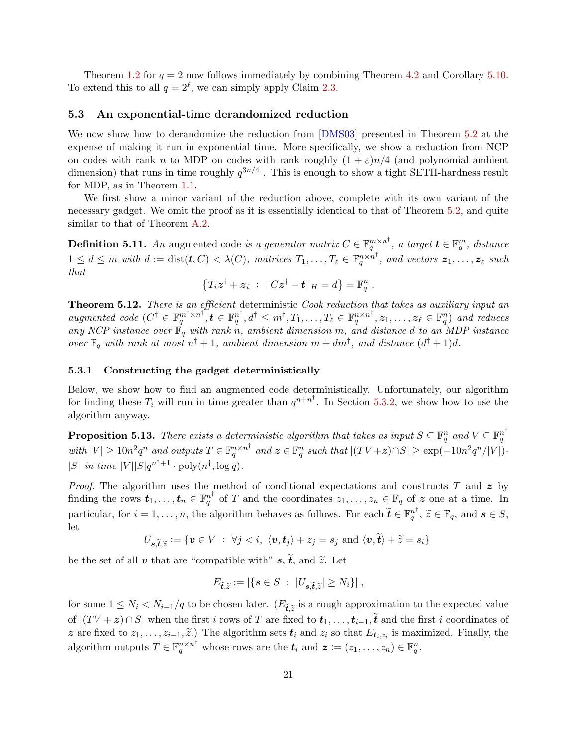<span id="page-22-4"></span>Theorem [1.2](#page-3-1) for  $q = 2$  now follows immediately by combining Theorem [4.2](#page-13-0) and Corollary [5.10.](#page-21-1) To extend this to all  $q = 2^{\ell}$ , we can simply apply Claim [2.3.](#page-7-0)

## <span id="page-22-0"></span>5.3 An exponential-time derandomized reduction

We now show how to derandomize the reduction from [\[DMS03\]](#page-26-9) presented in Theorem [5.2](#page-17-0) at the expense of making it run in exponential time. More specifically, we show a reduction from NCP on codes with rank n to MDP on codes with rank roughly  $(1 + \varepsilon)n/4$  (and polynomial ambient dimension) that runs in time roughly  $q^{3n/4}$  . This is enough to show a tight SETH-hardness result for MDP, as in Theorem [1.1.](#page-2-1)

We first show a minor variant of the reduction above, complete with its own variant of the necessary gadget. We omit the proof as it is essentially identical to that of Theorem [5.2,](#page-17-0) and quite similar to that of Theorem [A.2.](#page-27-9)

**Definition 5.11.** An augmented code is a generator matrix  $C \in \mathbb{F}_q^{m \times n^{\dagger}}$ , a target  $\boldsymbol{t} \in \mathbb{F}_q^m$ , distance  $1 \leq d \leq m$  with  $d := \text{dist}(\boldsymbol{t}, C) < \lambda(C)$ , matrices  $T_1, \ldots, T_\ell \in \mathbb{F}_q^{n \times n^{\dagger}}$ , and vectors  $\boldsymbol{z}_1, \ldots, \boldsymbol{z}_\ell$  such that

$$
\left\{T_i\boldsymbol{z}^\dagger + \boldsymbol{z}_i \;:\; \|C\boldsymbol{z}^\dagger - \boldsymbol{t}\|_{H} = d\right\} = \mathbb{F}_q^n \;.
$$

<span id="page-22-3"></span>Theorem 5.12. There is an efficient deterministic Cook reduction that takes as auxiliary input an augmented code  $(C^{\dagger} \in \mathbb{F}_q^{m^{\dagger} \times n^{\dagger}}, t \in \mathbb{F}_q^{n^{\dagger}}, d^{\dagger} \leq m^{\dagger}, T_1, \ldots, T_\ell \in \mathbb{F}_q^{n \times n^{\dagger}}, z_1, \ldots, z_\ell \in \mathbb{F}_q^n)$  and reduces any NCP instance over  $\mathbb{F}_q$  with rank n, ambient dimension m, and distance d to an MDP instance over  $\mathbb{F}_q$  with rank at most  $n^{\dagger}+1$ , ambient dimension  $m+dm^{\dagger}$ , and distance  $(d^{\dagger}+1)d$ .

#### <span id="page-22-1"></span>5.3.1 Constructing the gadget deterministically

Below, we show how to find an augmented code deterministically. Unfortunately, our algorithm for finding these  $T_i$  will run in time greater than  $q^{n+n^{\dagger}}$ . In Section [5.3.2,](#page-24-0) we show how to use the algorithm anyway.

<span id="page-22-2"></span>**Proposition 5.13.** There exists a deterministic algorithm that takes as input  $S \subseteq \mathbb{F}_q^n$  and  $V \subseteq \mathbb{F}_q^{n^{\dagger}}$ with  $|V| \geq 10n^2q^n$  and outputs  $T \in \mathbb{F}_q^{n \times n^{\dagger}}$  and  $\mathbf{z} \in \mathbb{F}_q^n$  such that  $|(TV + \mathbf{z}) \cap S| \geq \exp(-10n^2q^n/|V|)$ . |S| in time  $|V||S|q^{n^{\dagger}+1} \cdot \text{poly}(n^{\dagger}, \log q)$ .

*Proof.* The algorithm uses the method of conditional expectations and constructs T and  $z$  by finding the rows  $t_1, \ldots, t_n \in \mathbb{F}_q^{n^{\dagger}}$  of T and the coordinates  $z_1, \ldots, z_n \in \mathbb{F}_q$  of z one at a time. In particular, for  $i = 1, ..., n$ , the algorithm behaves as follows. For each  $\tilde{t} \in \mathbb{F}_q^{n^{\dagger}}$ ,  $\tilde{z} \in \mathbb{F}_q$ , and  $s \in S$ , let

$$
U_{\mathbf{s}, \widetilde{\mathbf{t}}, \widetilde{z}} := \{ \mathbf{v} \in V \; : \; \forall j < i, \; \langle \mathbf{v}, \mathbf{t}_j \rangle + z_j = s_j \; \text{and} \; \langle \mathbf{v}, \widetilde{\mathbf{t}} \rangle + \widetilde{z} = s_i \}
$$

be the set of all v that are "compatible with"  $s, \tilde{t}$ , and  $\tilde{z}$ . Let

$$
E_{\widetilde{\boldsymbol{t}},\widetilde{z}} := |\{\boldsymbol{s} \in S \; : \; |U_{\boldsymbol{s},\widetilde{\boldsymbol{t}},\widetilde{z}}| \geq N_i\}|,
$$

for some  $1 \le N_i < N_{i-1}/q$  to be chosen later.  $(E_{\tilde{t}, \tilde{z}}]$  is a rough approximation to the expected value of  $|(TV + z) \cap S|$  when the first i rows of T are fixed to  $t_1, \ldots, t_{i-1}, t$  and the first i coordinates of z are fixed to  $z_1, \ldots, z_{i-1}, \tilde{z}$ .) The algorithm sets  $t_i$  and  $z_i$  so that  $E_{t_i, z_i}$  is maximized. Finally, the algorithm outputs  $T \in \mathbb{F}_q^{n \times n^{\dagger}}$  whose rows are the  $t_i$  and  $\boldsymbol{z} := (z_1, \ldots, z_n) \in \mathbb{F}_q^n$ .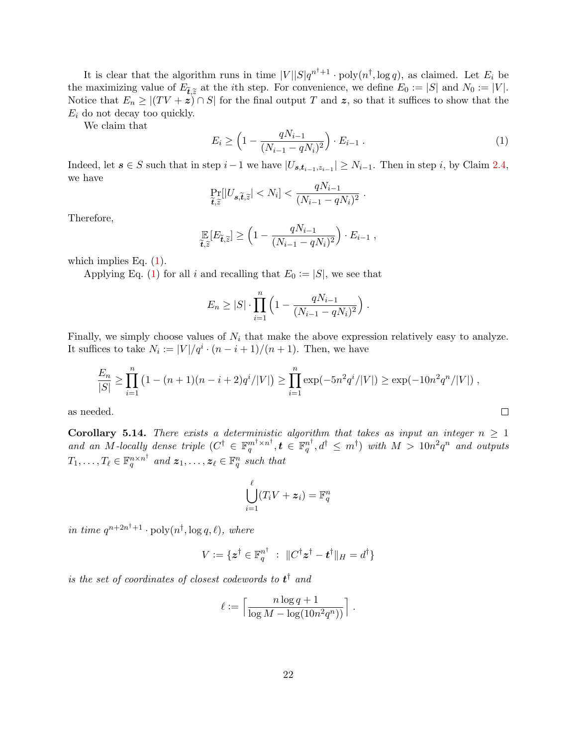It is clear that the algorithm runs in time  $|V||S|q^{n^{\dagger}+1} \cdot \text{poly}(n^{\dagger}, \log q)$ , as claimed. Let  $E_i$  be the maximizing value of  $E_{\tilde{t},\tilde{z}}$  at the *i*th step. For convenience, we define  $E_0 := |S|$  and  $N_0 := |V|$ .<br>Notice that  $E > |(TV + z)| \cap S|$  for the final output T and z, so that it suffices to show that the Notice that  $E_n \geq |(TV + z) \cap S|$  for the final output T and z, so that it suffices to show that the  $E_i$  do not decay too quickly.

We claim that

<span id="page-23-0"></span>
$$
E_i \ge \left(1 - \frac{qN_{i-1}}{(N_{i-1} - qN_i)^2}\right) \cdot E_{i-1} \ . \tag{1}
$$

Indeed, let  $s \in S$  such that in step  $i-1$  we have  $|U_{s,t_{i-1},z_{i-1}}| \geq N_{i-1}$ . Then in step i, by Claim [2.4,](#page-7-1) we have

$$
\Pr_{\widetilde{\boldsymbol{t}},\widetilde{z}}[|U_{\boldsymbol{s},\widetilde{\boldsymbol{t}},\widetilde{z}}|
$$

Therefore,

$$
\mathop{\mathbb{E}}_{\widetilde{\boldsymbol{t}},\widetilde{z}}[E_{\widetilde{\boldsymbol{t}},\widetilde{z}}] \ge \left(1 - \frac{qN_{i-1}}{(N_{i-1} - qN_i)^2}\right) \cdot E_{i-1},
$$

which implies Eq.  $(1)$ .

Applying Eq. [\(1\)](#page-23-0) for all i and recalling that  $E_0 := |S|$ , we see that

$$
E_n \geq |S| \cdot \prod_{i=1}^n \left(1 - \frac{qN_{i-1}}{(N_{i-1} - qN_i)^2}\right).
$$

Finally, we simply choose values of  $N_i$  that make the above expression relatively easy to analyze. It suffices to take  $N_i := |V|/q^i \cdot (n-i+1)/(n+1)$ . Then, we have

$$
\frac{E_n}{|S|} \ge \prod_{i=1}^n \left(1 - (n+1)(n-i+2)q^i/|V|\right) \ge \prod_{i=1}^n \exp(-5n^2q^i/|V|) \ge \exp(-10n^2q^n/|V|) ,
$$

as needed.

<span id="page-23-1"></span>**Corollary 5.14.** There exists a deterministic algorithm that takes as input an integer  $n \geq 1$ and an M-locally dense triple  $(C^{\dagger} \in \mathbb{F}_q^{m^{\dagger} \times n^{\dagger}}, t \in \mathbb{F}_q^{n^{\dagger}}, d^{\dagger} \leq m^{\dagger})$  with  $M > 10n^2q^n$  and outputs  $T_1, \ldots, T_\ell \in \mathbb{F}_q^{n \times n^{\dagger}}$  and  $\boldsymbol{z}_1, \ldots, \boldsymbol{z}_\ell \in \mathbb{F}_q^n$  such that

$$
\bigcup_{i=1}^\ell (T_iV+\boldsymbol{z}_i)=\mathbb{F}_q^n
$$

in time  $q^{n+2n^{\dagger}+1} \cdot \text{poly}(n^{\dagger}, \log q, \ell)$ , where

$$
V := \{ \boldsymbol{z}^{\dagger} \in \mathbb{F}_q^{n^{\dagger}} \; : \; \|C^{\dagger} \boldsymbol{z}^{\dagger} - \boldsymbol{t}^{\dagger}\|_{H} = d^{\dagger} \}
$$

is the set of coordinates of closest codewords to  $t^{\dagger}$  and

$$
\ell := \left\lceil \frac{n \log q + 1}{\log M - \log(10n^2q^n))} \right\rceil.
$$

 $\Box$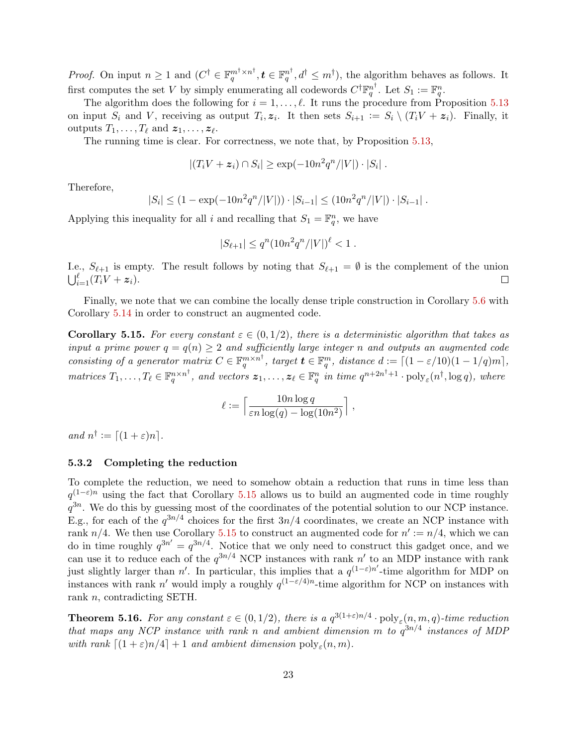*Proof.* On input  $n \geq 1$  and  $(C^{\dagger} \in \mathbb{F}_q^{m^{\dagger} \times n^{\dagger}}, \mathbf{t} \in \mathbb{F}_q^{n^{\dagger}}, d^{\dagger} \leq m^{\dagger}$ , the algorithm behaves as follows. It first computes the set V by simply enumerating all codewords  $C^{\dagger} \mathbb{F}_q^{n^{\dagger}}$ . Let  $S_1 := \mathbb{F}_q^n$ .

The algorithm does the following for  $i = 1, \ldots, \ell$ . It runs the procedure from Proposition [5.13](#page-22-2) on input  $S_i$  and V, receiving as output  $T_i, z_i$ . It then sets  $S_{i+1} := S_i \setminus (T_i V + z_i)$ . Finally, it outputs  $T_1, \ldots, T_\ell$  and  $\boldsymbol{z}_1, \ldots, \boldsymbol{z}_\ell$ .

The running time is clear. For correctness, we note that, by Proposition [5.13,](#page-22-2)

$$
|(T_iV + \boldsymbol{z}_i) \cap S_i| \ge \exp(-10n^2q^n/|V|) \cdot |S_i|.
$$

Therefore,

$$
|S_i| \le (1 - \exp(-10n^2 q^n/|V|)) \cdot |S_{i-1}| \le (10n^2 q^n/|V|) \cdot |S_{i-1}|.
$$

Applying this inequality for all i and recalling that  $S_1 = \mathbb{F}_q^n$ , we have

$$
|S_{\ell+1}| \le q^n (10n^2 q^n/|V|)^{\ell} < 1.
$$

I.e.,  $S_{\ell+1}$  is empty. The result follows by noting that  $S_{\ell+1} = \emptyset$  is the complement of the union  $\bigcup_{i=1}^{\ell} (T_iV + \boldsymbol{z}_i).$  $\Box$ 

Finally, we note that we can combine the locally dense triple construction in Corollary [5.6](#page-19-1) with Corollary [5.14](#page-23-1) in order to construct an augmented code.

<span id="page-24-1"></span>**Corollary 5.15.** For every constant  $\varepsilon \in (0, 1/2)$ , there is a deterministic algorithm that takes as input a prime power  $q = q(n) \geq 2$  and sufficiently large integer n and outputs an augmented code consisting of a generator matrix  $C \in \mathbb{F}_q^{m \times n^{\dagger}}$ , target  $\boldsymbol{t} \in \mathbb{F}_q^m$ , distance  $d := \lceil (1 - \varepsilon/10)(1 - 1/q)m \rceil$ , matrices  $T_1, \ldots, T_\ell \in \mathbb{F}_q^{n \times n^{\dagger}}$ , and vectors  $\boldsymbol{z}_1, \ldots, \boldsymbol{z}_\ell \in \mathbb{F}_q^n$  in time  $q^{n+2n^{\dagger}+1} \cdot \text{poly}_{\varepsilon}(n^{\dagger}, \log q)$ , where

$$
\ell := \left\lceil \frac{10n \log q}{\varepsilon n \log(q) - \log(10n^2)} \right\rceil,
$$

and  $n^{\dagger} := \lceil (1 + \varepsilon)n \rceil$ .

#### <span id="page-24-0"></span>5.3.2 Completing the reduction

To complete the reduction, we need to somehow obtain a reduction that runs in time less than  $q^{(1-\varepsilon)n}$  using the fact that Corollary [5.15](#page-24-1) allows us to build an augmented code in time roughly  $q^{3n}$ . We do this by guessing most of the coordinates of the potential solution to our NCP instance. E.g., for each of the  $q^{3n/4}$  choices for the first  $3n/4$  coordinates, we create an NCP instance with rank  $n/4$ . We then use Corollary [5.15](#page-24-1) to construct an augmented code for  $n' := n/4$ , which we can do in time roughly  $q^{3n'} = q^{3n/4}$ . Notice that we only need to construct this gadget once, and we can use it to reduce each of the  $q^{3n/4}$  NCP instances with rank n' to an MDP instance with rank just slightly larger than n'. In particular, this implies that a  $q^{(1-\varepsilon)n'}$ -time algorithm for MDP on instances with rank n' would imply a roughly  $q^{(1-\varepsilon/4)n}$ -time algorithm for NCP on instances with rank n, contradicting SETH.

**Theorem 5.16.** For any constant  $\varepsilon \in (0,1/2)$ , there is a  $q^{3(1+\varepsilon)n/4} \cdot \text{poly}_{\varepsilon}(n,m,q)$ -time reduction that maps any NCP instance with rank n and ambient dimension m to  $q^{3n/4}$  instances of MDP with rank  $\lceil (1 + \varepsilon)n/4 \rceil + 1$  and ambient dimension  $\text{poly}_{\varepsilon}(n, m)$ .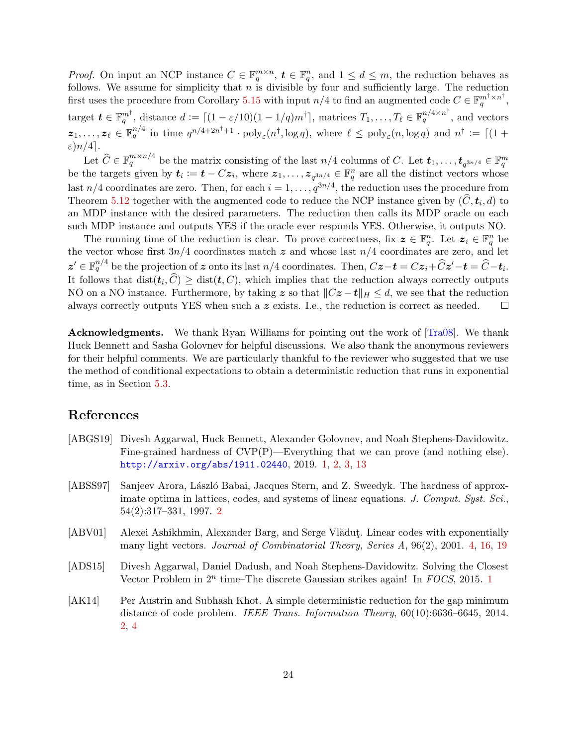<span id="page-25-5"></span>*Proof.* On input an NCP instance  $C \in \mathbb{F}_q^{m \times n}$ ,  $t \in \mathbb{F}_q^n$ , and  $1 \leq d \leq m$ , the reduction behaves as follows. We assume for simplicity that  $n$  is divisible by four and sufficiently large. The reduction first uses the procedure from Corollary [5.15](#page-24-1) with input  $n/4$  to find an augmented code  $C \in \mathbb{F}_q^{m^{\dagger} \times n^{\dagger}}$ , target  $\boldsymbol{t} \in \mathbb{F}_q^{m^{\dagger}}$ , distance  $d := \lceil (1 - \varepsilon/10)(1 - 1/q)m^{\dagger} \rceil$ , matrices  $T_1, \ldots, T_\ell \in \mathbb{F}_q^{n/4 \times n^{\dagger}}$ , and vectors  $z_1,\ldots,z_\ell \in \mathbb{F}_q^{n/4}$  in time  $q^{n/4+2n^{\dagger}+1} \cdot \text{poly}_{\varepsilon}(n^{\dagger}, \log q)$ , where  $\ell \leq \text{poly}_{\varepsilon}(n, \log q)$  and  $n^{\dagger} := \lceil (1 + \ell)^{\ell} \rceil$  $\varepsilon$ ) $n/4$ ].

Let  $\widehat{C} \in \mathbb{F}_q^{m \times n/4}$  be the matrix consisting of the last  $n/4$  columns of C. Let  $t_1, \ldots, t_{q^{3n/4}} \in \mathbb{F}_q^m$ be the targets given by  $t_i := t - Cz_i$ , where  $z_1, \ldots, z_{q^{3n/4}} \in \mathbb{F}_q^n$  are all the distinct vectors whose last  $n/4$  coordinates are zero. Then, for each  $i = 1, \ldots, q^{3n/4}$ , the reduction uses the procedure from Theorem [5.12](#page-22-3) together with the augmented code to reduce the NCP instance given by  $(C, t_i, d)$  to the NCP instance given by  $(C, t_i, d)$ an MDP instance with the desired parameters. The reduction then calls its MDP oracle on each such MDP instance and outputs YES if the oracle ever responds YES. Otherwise, it outputs NO.

The running time of the reduction is clear. To prove correctness, fix  $z \in \mathbb{F}_q^n$ . Let  $z_i \in \mathbb{F}_q^n$  be the vector whose first  $3n/4$  coordinates match  $\boldsymbol{z}$  and whose last  $n/4$  coordinates are zero, and let  $z' \in \mathbb{F}_q^{n/4}$  be the projection of z onto its last  $n/4$  coordinates. Then,  $Cz-t = Cz_i+\hat{C}z'-t = \hat{C}-t_i$ . It follows that  $dist(t_i, C) \geq dist(t, C)$ , which implies that the reduction always correctly outputs NO on a NO instance. Furthermore, by taking z so that  $||Cz - t||_H \le d$ , we see that the reduction always correctly outputs YES when such a z exists. I.e., the reduction is correct as needed.  $\Box$ 

Acknowledgments. We thank Ryan Williams for pointing out the work of [\[Tra08\]](#page-27-5). We thank Huck Bennett and Sasha Golovnev for helpful discussions. We also thank the anonymous reviewers for their helpful comments. We are particularly thankful to the reviewer who suggested that we use the method of conditional expectations to obtain a deterministic reduction that runs in exponential time, as in Section [5.3.](#page-22-0)

## References

- <span id="page-25-0"></span>[ABGS19] Divesh Aggarwal, Huck Bennett, Alexander Golovnev, and Noah Stephens-Davidowitz. Fine-grained hardness of CVP(P)—Everything that we can prove (and nothing else). <http://arxiv.org/abs/1911.02440>, 2019. [1,](#page--1-0) [2,](#page-3-2) [3,](#page-4-0) [13](#page-14-3)
- <span id="page-25-2"></span>[ABSS97] Sanjeev Arora, László Babai, Jacques Stern, and Z. Sweedyk. The hardness of approximate optima in lattices, codes, and systems of linear equations. J. Comput. Syst. Sci., 54(2):317–331, 1997. [2](#page-3-2)
- <span id="page-25-4"></span>[ABV01] Alexei Ashikhmin, Alexander Barg, and Serge Vlăduț. Linear codes with exponentially many light vectors. Journal of Combinatorial Theory, Series A, 96(2), 2001. [4,](#page-5-1) [16,](#page-17-1) [19](#page-20-3)
- <span id="page-25-1"></span>[ADS15] Divesh Aggarwal, Daniel Dadush, and Noah Stephens-Davidowitz. Solving the Closest Vector Problem in  $2^n$  time–The discrete Gaussian strikes again! In  $FOCS$ , 20[1](#page--1-0)5. 1
- <span id="page-25-3"></span>[AK14] Per Austrin and Subhash Khot. A simple deterministic reduction for the gap minimum distance of code problem. IEEE Trans. Information Theory, 60(10):6636–6645, 2014. [2,](#page-3-2) [4](#page-5-1)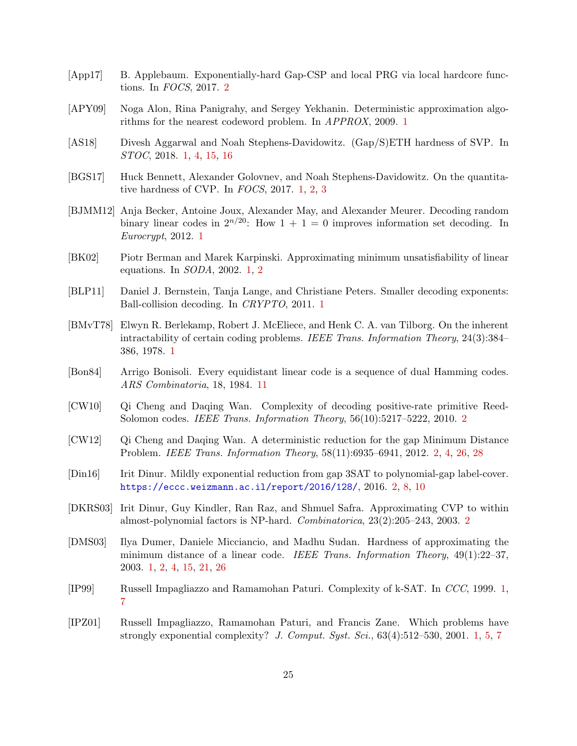- <span id="page-26-14"></span>[App17] B. Applebaum. Exponentially-hard Gap-CSP and local PRG via local hardcore functions. In FOCS, 2017. [2](#page-3-2)
- <span id="page-26-2"></span>[APY09] Noga Alon, Rina Panigrahy, and Sergey Yekhanin. Deterministic approximation algorithms for the nearest codeword problem. In APPROX, 2009. [1](#page--1-0)
- <span id="page-26-8"></span>[AS18] Divesh Aggarwal and Noah Stephens-Davidowitz. (Gap/S)ETH hardness of SVP. In STOC, 2018. [1,](#page--1-0) [4,](#page-5-1) [15,](#page-16-1) [16](#page-17-1)
- <span id="page-26-7"></span>[BGS17] Huck Bennett, Alexander Golovnev, and Noah Stephens-Davidowitz. On the quantitative hardness of CVP. In FOCS, 2017. [1,](#page--1-0) [2,](#page-3-2) [3](#page-4-0)
- <span id="page-26-4"></span>[BJMM12] Anja Becker, Antoine Joux, Alexander May, and Alexander Meurer. Decoding random binary linear codes in  $2^{n/20}$ : How  $1 + 1 = 0$  improves information set decoding. In Eurocrypt, 2012. [1](#page--1-0)
- <span id="page-26-1"></span>[BK02] Piotr Berman and Marek Karpinski. Approximating minimum unsatisfiability of linear equations. In SODA, 2002. [1,](#page--1-0) [2](#page-3-2)
- <span id="page-26-3"></span>[BLP11] Daniel J. Bernstein, Tanja Lange, and Christiane Peters. Smaller decoding exponents: Ball-collision decoding. In CRYPTO, 2011. [1](#page--1-0)
- <span id="page-26-0"></span>[BMvT78] Elwyn R. Berlekamp, Robert J. McEliece, and Henk C. A. van Tilborg. On the inherent intractability of certain coding problems. IEEE Trans. Information Theory, 24(3):384– 386, 1978. [1](#page--1-0)
- <span id="page-26-15"></span>[Bon84] Arrigo Bonisoli. Every equidistant linear code is a sequence of dual Hamming codes. ARS Combinatoria, 18, 1984. [11](#page-12-2)
- <span id="page-26-11"></span>[CW10] Qi Cheng and Daqing Wan. Complexity of decoding positive-rate primitive Reed-Solomon codes. IEEE Trans. Information Theory, 56(10):5217–5222, 2010. [2](#page-3-2)
- <span id="page-26-12"></span>[CW12] Qi Cheng and Daqing Wan. A deterministic reduction for the gap Minimum Distance Problem. IEEE Trans. Information Theory, 58(11):6935–6941, 2012. [2,](#page-3-2) [4,](#page-5-1) [26,](#page-27-10) [28](#page-29-0)
- <span id="page-26-13"></span>[Din16] Irit Dinur. Mildly exponential reduction from gap 3SAT to polynomial-gap label-cover. <https://eccc.weizmann.ac.il/report/2016/128/>, 2016. [2,](#page-3-2) [8,](#page-9-5) [10](#page-11-2)
- <span id="page-26-10"></span>[DKRS03] Irit Dinur, Guy Kindler, Ran Raz, and Shmuel Safra. Approximating CVP to within almost-polynomial factors is NP-hard. Combinatorica, 23(2):205–243, 2003. [2](#page-3-2)
- <span id="page-26-9"></span>[DMS03] Ilya Dumer, Daniele Micciancio, and Madhu Sudan. Hardness of approximating the minimum distance of a linear code. IEEE Trans. Information Theory, 49(1):22–37, 2003. [1,](#page--1-0) [2,](#page-3-2) [4,](#page-5-1) [15,](#page-16-1) [21,](#page-22-4) [26](#page-27-10)
- <span id="page-26-5"></span>[IP99] Russell Impagliazzo and Ramamohan Paturi. Complexity of k-SAT. In CCC, 1999. [1,](#page--1-0) [7](#page-8-2)
- <span id="page-26-6"></span>[IPZ01] Russell Impagliazzo, Ramamohan Paturi, and Francis Zane. Which problems have strongly exponential complexity? J. Comput. Syst. Sci.,  $63(4):512-530$ , 2001. [1,](#page--1-0) [5,](#page-6-2) [7](#page-8-2)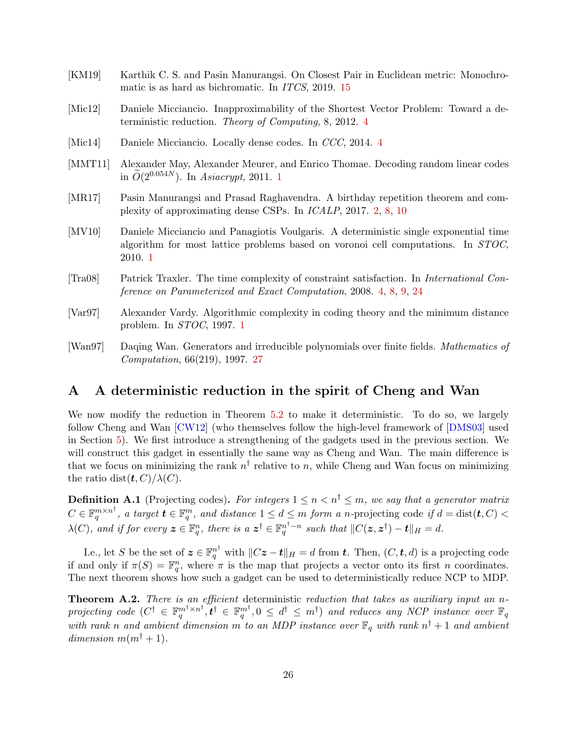- <span id="page-27-10"></span><span id="page-27-8"></span>[KM19] Karthik C. S. and Pasin Manurangsi. On Closest Pair in Euclidean metric: Monochromatic is as hard as bichromatic. In ITCS, 2019. [15](#page-16-1)
- <span id="page-27-6"></span>[Mic12] Daniele Micciancio. Inapproximability of the Shortest Vector Problem: Toward a deterministic reduction. Theory of Computing, 8, 2012. [4](#page-5-1)
- <span id="page-27-7"></span>[Mic1[4](#page-5-1)] Daniele Micciancio. Locally dense codes. In CCC, 2014. 4
- <span id="page-27-2"></span>[MMT11] Alexander May, Alexander Meurer, and Enrico Thomae. Decoding random linear codes in  $\widetilde{O}(2^{0.054N})$ . In Asiacrypt, 20[1](#page--1-0)1. 1
- <span id="page-27-4"></span>[MR17] Pasin Manurangsi and Prasad Raghavendra. A birthday repetition theorem and complexity of approximating dense CSPs. In ICALP, 2017. [2,](#page-3-2) [8,](#page-9-5) [10](#page-11-2)
- <span id="page-27-3"></span>[MV10] Daniele Micciancio and Panagiotis Voulgaris. A deterministic single exponential time algorithm for most lattice problems based on voronoi cell computations. In STOC, 2010. [1](#page--1-0)
- <span id="page-27-5"></span>[Tra08] Patrick Traxler. The time complexity of constraint satisfaction. In International Conference on Parameterized and Exact Computation, 2008. [4,](#page-5-1) [8,](#page-9-5) [9,](#page-10-2) [24](#page-25-5)
- <span id="page-27-1"></span>[Var97] Alexander Vardy. Algorithmic complexity in coding theory and the minimum distance problem. In STOC, 1997. [1](#page--1-0)
- <span id="page-27-11"></span>[Wan97] Daqing Wan. Generators and irreducible polynomials over finite fields. Mathematics of Computation, 66(219), 1997. [27](#page-28-1)

# <span id="page-27-0"></span>A A deterministic reduction in the spirit of Cheng and Wan

We now modify the reduction in Theorem [5.2](#page-17-0) to make it deterministic. To do so, we largely follow Cheng and Wan [\[CW12\]](#page-26-12) (who themselves follow the high-level framework of [\[DMS03\]](#page-26-9) used in Section [5\)](#page-16-0). We first introduce a strengthening of the gadgets used in the previous section. We will construct this gadget in essentially the same way as Cheng and Wan. The main difference is that we focus on minimizing the rank  $n^{\dagger}$  relative to n, while Cheng and Wan focus on minimizing the ratio dist $(\boldsymbol{t}, C)/\lambda(C)$ .

**Definition A.1** (Projecting codes). For integers  $1 \leq n < n^{\dagger} \leq m$ , we say that a generator matrix  $C \in \mathbb{F}_q^{m \times n^{\dagger}}$ , a target  $\boldsymbol{t} \in \mathbb{F}_q^m$ , and distance  $1 \leq d \leq m$  form a n-projecting code if  $d = \text{dist}(\boldsymbol{t}, C)$  $\lambda(C)$ , and if for every  $\boldsymbol{z} \in \mathbb{F}_q^n$ , there is a  $\boldsymbol{z}^{\dagger} \in \mathbb{F}_q^{n^{\dagger}-n}$  such that  $||C(\boldsymbol{z}, \boldsymbol{z}^{\dagger}) - \boldsymbol{t}||_H = d$ .

I.e., let S be the set of  $\boldsymbol{z} \in \mathbb{F}_q^{n^{\dagger}}$  with  $||C\boldsymbol{z} - \boldsymbol{t}||_H = d$  from  $\boldsymbol{t}$ . Then,  $(C, \boldsymbol{t}, d)$  is a projecting code if and only if  $\pi(S) = \mathbb{F}_q^n$ , where  $\pi$  is the map that projects a vector onto its first n coordinates. The next theorem shows how such a gadget can be used to deterministically reduce NCP to MDP.

<span id="page-27-9"></span>**Theorem A.2.** There is an efficient deterministic reduction that takes as auxiliary input an nprojecting code  $(C^{\dagger} \in \mathbb{F}_q^{m^{\dagger} \times n^{\dagger}}, \mathbf{t}^{\dagger} \in \mathbb{F}_q^{m^{\dagger}}, 0 \leq d^{\dagger} \leq m^{\dagger})$  and reduces any NCP instance over  $\mathbb{F}_q$ with rank n and ambient dimension m to an MDP instance over  $\mathbb{F}_q$  with rank  $n^{\dagger}+1$  and ambient dimension  $m(m^{\dagger} + 1)$ .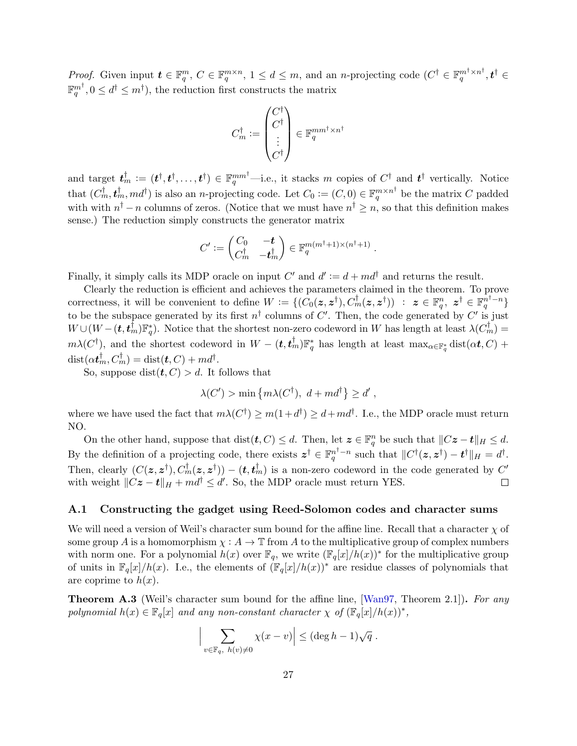<span id="page-28-1"></span>Proof. Given input  $\boldsymbol{t} \in \mathbb{F}_q^m$ ,  $C \in \mathbb{F}_q^{m \times n}$ ,  $1 \leq d \leq m$ , and an *n*-projecting code  $(C^{\dagger} \in \mathbb{F}_q^{m^{\dagger} \times n^{\dagger}}, \boldsymbol{t}^{\dagger} \in$  $\mathbb{F}_q^{m^{\dagger}}, 0 \leq d^{\dagger} \leq m^{\dagger}$ ), the reduction first constructs the matrix

$$
C_m^\dagger \mathrel{\mathop:}= \begin{pmatrix} C^\dagger \\ C^\dagger \\ \vdots \\ C^\dagger \end{pmatrix} \in \mathbb{F}_q^{mm^\dagger \times n^\dagger}
$$

and target  $\boldsymbol{t}_m^{\dagger} := (\boldsymbol{t}^{\dagger}, \boldsymbol{t}^{\dagger}, \dots, \boldsymbol{t}^{\dagger}) \in \mathbb{F}_q^{mm^{\dagger}}$  -i.e., it stacks m copies of  $C^{\dagger}$  and  $\boldsymbol{t}^{\dagger}$  vertically. Notice that  $(C_m^{\dagger}, \mathbf{t}_m^{\dagger}, md^{\dagger})$  is also an *n*-projecting code. Let  $C_0 := (C, 0) \in \mathbb{F}_q^{m \times n^{\dagger}}$  be the matrix C padded with with  $n^{\dagger} - n$  columns of zeros. (Notice that we must have  $n^{\dagger} \geq n$ , so that this definition makes sense.) The reduction simply constructs the generator matrix

$$
C' := \begin{pmatrix} C_0 & -\boldsymbol{t} \\ C_m^{\dagger} & -\boldsymbol{t}_m^{\dagger} \end{pmatrix} \in \mathbb{F}_q^{m(m^{\dagger}+1) \times (n^{\dagger}+1)}.
$$

Finally, it simply calls its MDP oracle on input  $C'$  and  $d' := d + md^{\dagger}$  and returns the result.

Clearly the reduction is efficient and achieves the parameters claimed in the theorem. To prove correctness, it will be convenient to define  $W := \{(\overline{C_0}(z, z^{\dagger}), \overline{C_m}^{\dagger}(z, z^{\dagger})) : z \in \mathbb{F}_q^n, z^{\dagger} \in \mathbb{F}_q^{n^{\dagger}-n}\}\$ to be the subspace generated by its first  $n^{\dagger}$  columns of C'. Then, the code generated by C' is just  $W \cup (W - (\boldsymbol{t}, \boldsymbol{t}_m^{\dagger}) \mathbb{F}_q^*)$ . Notice that the shortest non-zero codeword in W has length at least  $\lambda(C_m^{\dagger}) =$  $m\lambda(C^{\dagger})$ , and the shortest codeword in  $W-(t,t_m^{\dagger})\mathbb{F}_q^*$  has length at least  $\max_{\alpha\in\mathbb{F}_q^*}$  dist $(\alpha t, C)$  +  $\text{dist}(\alpha t_m^{\dagger}, C_m^{\dagger}) = \text{dist}(\boldsymbol{t}, C) + m d^{\dagger}.$ 

So, suppose dist $(t, C) > d$ . It follows that

$$
\lambda(C') > \min\left\{m\lambda(C^{\dagger}), d + md^{\dagger}\right\} \ge d',
$$

where we have used the fact that  $m\lambda(C^{\dagger}) \geq m(1+d^{\dagger}) \geq d+md^{\dagger}$ . I.e., the MDP oracle must return NO.

On the other hand, suppose that  $dist(t, C) \leq d$ . Then, let  $\boldsymbol{z} \in \mathbb{F}_q^n$  be such that  $||C\boldsymbol{z} - \boldsymbol{t}||_H \leq d$ . By the definition of a projecting code, there exists  $\mathbf{z}^{\dagger} \in \mathbb{F}_q^{n^{\dagger}-n}$  such that  $||C^{\dagger}(\mathbf{z}, \mathbf{z}^{\dagger}) - \mathbf{t}^{\dagger}||_H = d^{\dagger}$ . Then, clearly  $(C(z, z^{\dagger}), C_m^{\dagger}(z, z^{\dagger})) - (t, t_m^{\dagger})$  is a non-zero codeword in the code generated by  $C'$ with weight  $||Cz - t||_H + md^{\dagger} \le d'$ . So, the MDP oracle must return YES.  $\Box$ 

#### <span id="page-28-0"></span>A.1 Constructing the gadget using Reed-Solomon codes and character sums

We will need a version of Weil's character sum bound for the affine line. Recall that a character  $\chi$  of some group A is a homomorphism  $\chi : A \to \mathbb{T}$  from A to the multiplicative group of complex numbers with norm one. For a polynomial  $h(x)$  over  $\mathbb{F}_q$ , we write  $(\mathbb{F}_q[x]/h(x))^*$  for the multiplicative group of units in  $\mathbb{F}_q[x]/h(x)$ . I.e., the elements of  $(\mathbb{F}_q[x]/h(x))^*$  are residue classes of polynomials that are coprime to  $h(x)$ .

<span id="page-28-2"></span>**Theorem A.3** (Weil's character sum bound for the affine line, [\[Wan97,](#page-27-11) Theorem 2.1]). For any polynomial  $h(x) \in \mathbb{F}_q[x]$  and any non-constant character  $\chi$  of  $(\mathbb{F}_q[x]/h(x))^*$ ,

$$
\Big|\sum_{v\in\mathbb{F}_q,\ h(v)\neq 0}\chi(x-v)\Big|\leq (\deg h-1)\sqrt{q}\ .
$$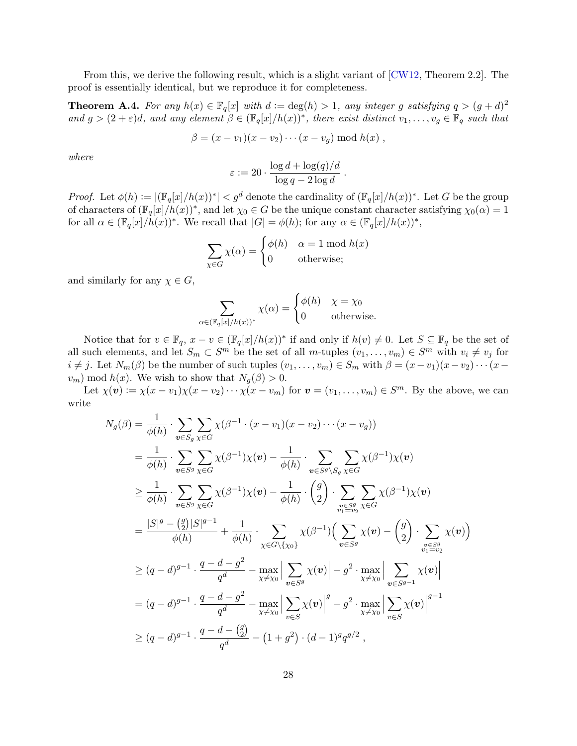<span id="page-29-0"></span>From this, we derive the following result, which is a slight variant of [\[CW12,](#page-26-12) Theorem 2.2]. The proof is essentially identical, but we reproduce it for completeness.

<span id="page-29-1"></span>**Theorem A.4.** For any  $h(x) \in \mathbb{F}_q[x]$  with  $d := \deg(h) > 1$ , any integer g satisfying  $q > (g + d)^2$ and  $g > (2 + \varepsilon)d$ , and any element  $\beta \in (\mathbb{F}_q[x]/h(x))^*$ , there exist distinct  $v_1, \ldots, v_g \in \mathbb{F}_q$  such that

$$
\beta = (x - v_1)(x - v_2) \cdots (x - v_g) \bmod h(x) ,
$$

where

$$
\varepsilon := 20 \cdot \frac{\log d + \log(q)/d}{\log q - 2\log d}.
$$

*Proof.* Let  $\phi(h) := |(\mathbb{F}_q[x]/h(x))^*| < g^d$  denote the cardinality of  $(\mathbb{F}_q[x]/h(x))^*$ . Let G be the group of characters of  $(\mathbb{F}_q[x]/h(x))^*$ , and let  $\chi_0 \in G$  be the unique constant character satisfying  $\chi_0(\alpha) = 1$ for all  $\alpha \in (\mathbb{F}_q[x]/h(x))^*$ . We recall that  $|G| = \phi(h)$ ; for any  $\alpha \in (\mathbb{F}_q[x]/h(x))^*$ ,

$$
\sum_{\chi \in G} \chi(\alpha) = \begin{cases} \phi(h) & \alpha = 1 \text{ mod } h(x) \\ 0 & \text{otherwise}; \end{cases}
$$

and similarly for any  $\chi \in G$ ,

$$
\sum_{\alpha \in (\mathbb{F}_q[x]/h(x))^*} \chi(\alpha) = \begin{cases} \phi(h) & \chi = \chi_0 \\ 0 & \text{otherwise.} \end{cases}
$$

Notice that for  $v \in \mathbb{F}_q$ ,  $x - v \in (\mathbb{F}_q[x]/h(x))^*$  if and only if  $h(v) \neq 0$ . Let  $S \subseteq \mathbb{F}_q$  be the set of all such elements, and let  $S_m \subset S^m$  be the set of all m-tuples  $(v_1, \ldots, v_m) \in S^m$  with  $v_i \neq v_j$  for  $i \neq j$ . Let  $N_m(\beta)$  be the number of such tuples  $(v_1, \ldots, v_m) \in S_m$  with  $\beta = (x-v_1)(x-v_2)\cdots (x-j)$  $v_m$ ) mod  $h(x)$ . We wish to show that  $N_g(\beta) > 0$ .

Let  $\chi(\boldsymbol{v}) := \chi(x - v_1)\chi(x - v_2)\cdots\chi(x - v_m)$  for  $\boldsymbol{v} = (v_1, \ldots, v_m) \in S^m$ . By the above, we can write

$$
N_g(\beta) = \frac{1}{\phi(h)} \cdot \sum_{\mathbf{v} \in S_g} \sum_{\chi \in G} \chi(\beta^{-1} \cdot (x - v_1)(x - v_2) \cdots (x - v_g))
$$
  
\n
$$
= \frac{1}{\phi(h)} \cdot \sum_{\mathbf{v} \in S^g} \sum_{\chi \in G} \chi(\beta^{-1}) \chi(\mathbf{v}) - \frac{1}{\phi(h)} \cdot \sum_{\mathbf{v} \in S^g \setminus S_g} \sum_{\chi \in G} \chi(\beta^{-1}) \chi(\mathbf{v})
$$
  
\n
$$
\geq \frac{1}{\phi(h)} \cdot \sum_{\mathbf{v} \in S^g} \sum_{\chi \in G} \chi(\beta^{-1}) \chi(\mathbf{v}) - \frac{1}{\phi(h)} \cdot \binom{g}{2} \cdot \sum_{\substack{\mathbf{v} \in S^g \\ \mathbf{v} \in S^g}} \sum_{\chi \in G} \chi(\beta^{-1}) \chi(\mathbf{v})
$$
  
\n
$$
= \frac{|S|^g - \binom{g}{2} |S|^{g-1}}{\phi(h)} + \frac{1}{\phi(h)} \cdot \sum_{\chi \in G \setminus \{\chi_0\}} \chi(\beta^{-1}) \left( \sum_{\mathbf{v} \in S^g} \chi(\mathbf{v}) - \binom{g}{2} \cdot \sum_{\substack{\mathbf{v} \in S^g \\ \mathbf{v} \in S^g}} \chi(\mathbf{v}) \right)
$$
  
\n
$$
\geq (q - d)^{g-1} \cdot \frac{q - d - g^2}{q^d} - \max_{\chi \neq \chi_0} \left| \sum_{\mathbf{v} \in S^g} \chi(\mathbf{v}) \right| - g^2 \cdot \max_{\chi \neq \chi_0} \left| \sum_{\mathbf{v} \in S^{g-1}} \chi(\mathbf{v}) \right|^{g-1}
$$
  
\n
$$
\geq (q - d)^{g-1} \cdot \frac{q - d - g^2}{q^d} - \max_{\chi \neq \chi_0} \left| \sum_{\mathbf{v} \in S} \chi(\mathbf{v}) \right|^g - g^2 \cdot \max_{\chi \neq \chi_0} \left| \sum_{\mathbf{v} \in S} \chi(\mathbf{v}) \right|^{g-1}
$$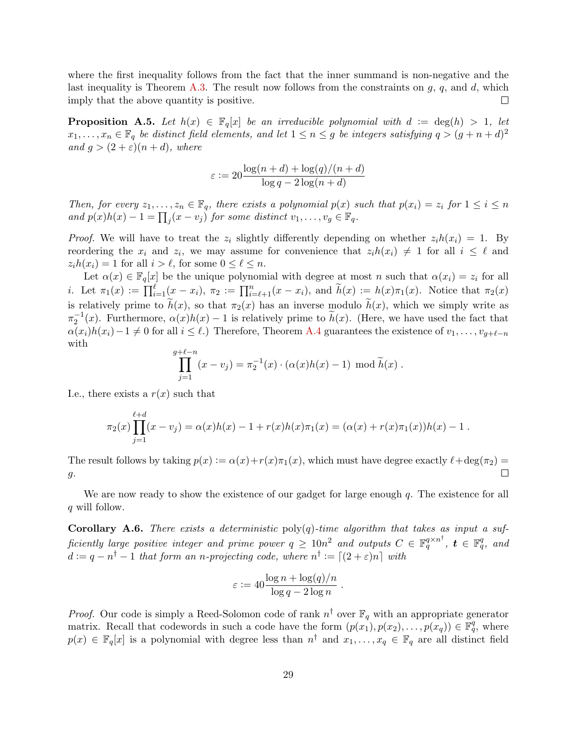where the first inequality follows from the fact that the inner summand is non-negative and the last inequality is Theorem [A.3.](#page-28-2) The result now follows from the constraints on  $g$ ,  $q$ , and  $d$ , which imply that the above quantity is positive.  $\Box$ 

**Proposition A.5.** Let  $h(x) \in \mathbb{F}_q[x]$  be an irreducible polynomial with  $d := \deg(h) > 1$ , let  $x_1, \ldots, x_n \in \mathbb{F}_q$  be distinct field elements, and let  $1 \leq n \leq g$  be integers satisfying  $q > (g + n + d)^2$ and  $g > (2 + \varepsilon)(n + d)$ , where

$$
\varepsilon := 20 \frac{\log(n+d) + \log(q)/(n+d)}{\log q - 2\log(n+d)}
$$

Then, for every  $z_1, \ldots, z_n \in \mathbb{F}_q$ , there exists a polynomial  $p(x)$  such that  $p(x_i) = z_i$  for  $1 \leq i \leq n$ and  $p(x)h(x) - 1 = \prod_j (x - v_j)$  for some distinct  $v_1, \ldots, v_g \in \mathbb{F}_q$ .

*Proof.* We will have to treat the  $z_i$  slightly differently depending on whether  $z_i h(x_i) = 1$ . By reordering the  $x_i$  and  $z_i$ , we may assume for convenience that  $z_i h(x_i) \neq 1$  for all  $i \leq \ell$  and  $z_i h(x_i) = 1$  for all  $i > \ell$ , for some  $0 \leq \ell \leq n$ .

Let  $\alpha(x) \in \mathbb{F}_q[x]$  be the unique polynomial with degree at most n such that  $\alpha(x_i) = z_i$  for all *i*. Let  $\pi_1(x) := \prod_{i=1}^{\ell} (x - x_i), \pi_2 := \prod_{i=\ell+1}^{n} (x - x_i),$  and  $\widetilde{h}(x) := h(x)\pi_1(x)$ . Notice that  $\pi_2(x)$ is relatively prime to  $h(x)$ , so that  $\pi_2(x)$  has an inverse modulo  $h(x)$ , which we simply write as  $\pi_2^{-1}(x)$ . Furthermore,  $\alpha(x)h(x) - 1$  is relatively prime to  $\tilde{h}(x)$ . (Here, we have used the fact that  $\alpha(x_i)h(x_i)-1 \neq 0$  for all  $i \leq \ell$ .) Therefore, Theorem [A.4](#page-29-1) guarantees the existence of  $v_1, \ldots, v_{q+\ell-n}$ with  $\overline{g}$ 

$$
\prod_{j=1}^{n+\ell-n} (x - v_j) = \pi_2^{-1}(x) \cdot (\alpha(x)h(x) - 1) \mod \tilde{h}(x) .
$$

I.e., there exists a  $r(x)$  such that

$$
\pi_2(x) \prod_{j=1}^{\ell+d} (x - v_j) = \alpha(x)h(x) - 1 + r(x)h(x)\pi_1(x) = (\alpha(x) + r(x)\pi_1(x))h(x) - 1.
$$

The result follows by taking  $p(x) := \alpha(x) + r(x)\pi_1(x)$ , which must have degree exactly  $\ell + \deg(\pi_2) =$ П  $g$ .

We are now ready to show the existence of our gadget for large enough  $q$ . The existence for all q will follow.

**Corollary A.6.** There exists a deterministic  $poly(q)$ -time algorithm that takes as input a sufficiently large positive integer and prime power  $q\,\geq\,10n^2$  and outputs  $C\,\in\,\mathbb{F}_q^{q\times n^\dagger},\; \bm{t}\,\in\,\mathbb{F}_q^q,\;$  and  $d := q - n<sup>\dagger</sup> - 1$  that form an n-projecting code, where  $n<sup>\dagger</sup> := [(2 + \varepsilon)n]$  with

$$
\varepsilon := 40 \frac{\log n + \log(q)/n}{\log q - 2 \log n} .
$$

*Proof.* Our code is simply a Reed-Solomon code of rank  $n^{\dagger}$  over  $\mathbb{F}_q$  with an appropriate generator matrix. Recall that codewords in such a code have the form  $(p(x_1), p(x_2), \ldots, p(x_q)) \in \mathbb{F}_q^q$ , where  $p(x) \in \mathbb{F}_q[x]$  is a polynomial with degree less than  $n^{\dagger}$  and  $x_1, \ldots, x_q \in \mathbb{F}_q$  are all distinct field